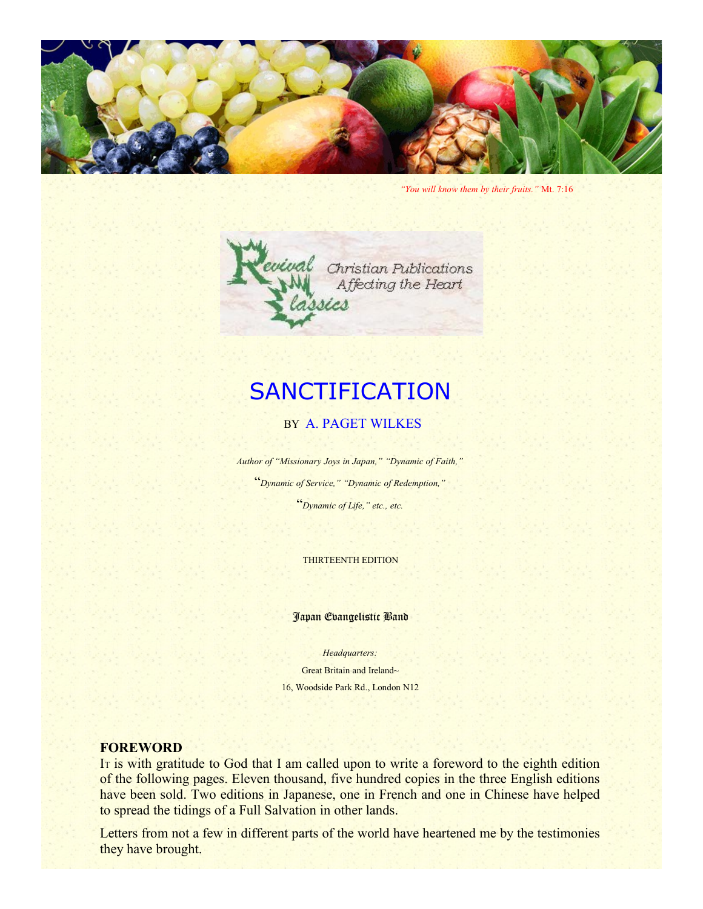

*"You will know them by their fruits."* Mt. 7:16



# **SANCTIFICATION**

#### BY A. PAGET WILKES

*Author of "Missionary Joys in Japan," "Dynamic of Faith,"*

"*Dynamic of Service," "Dynamic of Redemption,"*

"*Dynamic of Life," etc., etc.*

THIRTEENTH EDITION

Japan Evangelistic Band

*Headquarters:* Great Britain and Ireland~ 16, Woodside Park Rd., London N12

#### **FOREWORD**

I<sup>T</sup> is with gratitude to God that I am called upon to write a foreword to the eighth edition of the following pages. Eleven thousand, five hundred copies in the three English editions have been sold. Two editions in Japanese, one in French and one in Chinese have helped to spread the tidings of a Full Salvation in other lands.

Letters from not a few in different parts of the world have heartened me by the testimonies they have brought.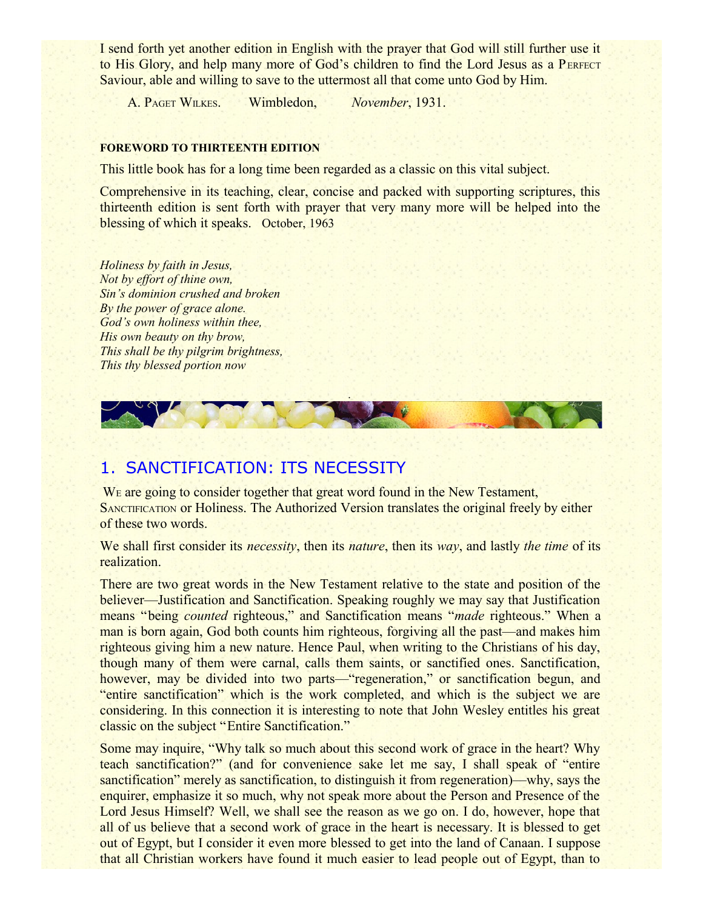I send forth yet another edition in English with the prayer that God will still further use it to His Glory, and help many more of God's children to find the Lord Jesus as a PERFECT Saviour, able and willing to save to the uttermost all that come unto God by Him.

A. PAGET WILKES. Wimbledon, *November*, 1931.

#### **FOREWORD TO THIRTEENTH EDITION**

This little book has for a long time been regarded as a classic on this vital subject.

Comprehensive in its teaching, clear, concise and packed with supporting scriptures, this thirteenth edition is sent forth with prayer that very many more will be helped into the blessing of which it speaks. October, 1963

*Holiness by faith in Jesus, Not by effort of thine own, Sin's dominion crushed and broken By the power of grace alone. God's own holiness within thee, His own beauty on thy brow, This shall be thy pilgrim brightness, This thy blessed portion now*



## 1. SANCTIFICATION: ITS NECESSITY

WE are going to consider together that great word found in the New Testament, SANCTIFICATION or Holiness. The Authorized Version translates the original freely by either of these two words.

We shall first consider its *necessity*, then its *nature*, then its *way*, and lastly *the time* of its realization.

There are two great words in the New Testament relative to the state and position of the believer—Justification and Sanctification. Speaking roughly we may say that Justification means "being *counted* righteous," and Sanctification means "*made* righteous." When a man is born again, God both counts him righteous, forgiving all the past—and makes him righteous giving him a new nature. Hence Paul, when writing to the Christians of his day, though many of them were carnal, calls them saints, or sanctified ones. Sanctification, however, may be divided into two parts—"regeneration," or sanctification begun, and "entire sanctification" which is the work completed, and which is the subject we are considering. In this connection it is interesting to note that John Wesley entitles his great classic on the subject "Entire Sanctification."

Some may inquire, "Why talk so much about this second work of grace in the heart? Why teach sanctification?" (and for convenience sake let me say, I shall speak of "entire sanctification" merely as sanctification, to distinguish it from regeneration)—why, says the enquirer, emphasize it so much, why not speak more about the Person and Presence of the Lord Jesus Himself? Well, we shall see the reason as we go on. I do, however, hope that all of us believe that a second work of grace in the heart is necessary. It is blessed to get out of Egypt, but I consider it even more blessed to get into the land of Canaan. I suppose that all Christian workers have found it much easier to lead people out of Egypt, than to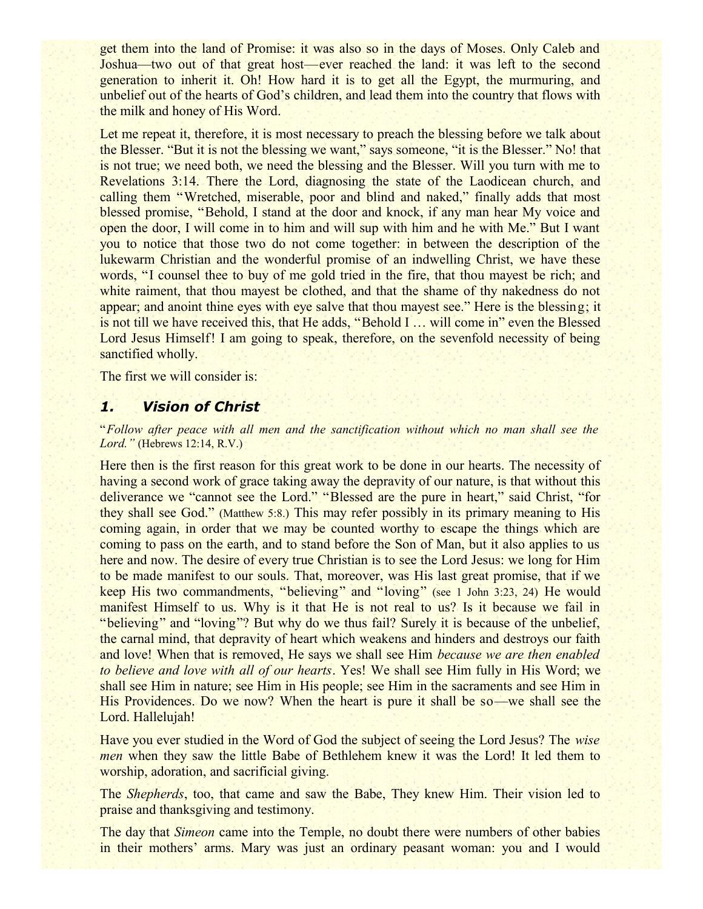get them into the land of Promise: it was also so in the days of Moses. Only Caleb and Joshua—two out of that great host—ever reached the land: it was left to the second generation to inherit it. Oh! How hard it is to get all the Egypt, the murmuring, and unbelief out of the hearts of God's children, and lead them into the country that flows with the milk and honey of His Word.

Let me repeat it, therefore, it is most necessary to preach the blessing before we talk about the Blesser. "But it is not the blessing we want," says someone, "it is the Blesser." No! that is not true; we need both, we need the blessing and the Blesser. Will you turn with me to Revelations 3:14. There the Lord, diagnosing the state of the Laodicean church, and calling them "Wretched, miserable, poor and blind and naked," finally adds that most blessed promise, "Behold, I stand at the door and knock, if any man hear My voice and open the door, I will come in to him and will sup with him and he with Me." But I want you to notice that those two do not come together: in between the description of the lukewarm Christian and the wonderful promise of an indwelling Christ, we have these words, "I counsel thee to buy of me gold tried in the fire, that thou mayest be rich; and white raiment, that thou may est be clothed, and that the shame of thy nakedness do not appear; and anoint thine eyes with eye salve that thou mayest see." Here is the blessing; it is not till we have received this, that He adds, "Behold I … will come in" even the Blessed Lord Jesus Himself! I am going to speak, therefore, on the sevenfold necessity of being sanctified wholly.

The first we will consider is:

#### *1. Vision of Christ*

"*Follow after peace with all men and the sanctification without which no man shall see the Lord."* (Hebrews 12:14, R.V.)

Here then is the first reason for this great work to be done in our hearts. The necessity of having a second work of grace taking away the depravity of our nature, is that without this deliverance we "cannot see the Lord." "Blessed are the pure in heart," said Christ, "for they shall see God." (Matthew 5:8.) This may refer possibly in its primary meaning to His coming again, in order that we may be counted worthy to escape the things which are coming to pass on the earth, and to stand before the Son of Man, but it also applies to us here and now. The desire of every true Christian is to see the Lord Jesus: we long for Him to be made manifest to our souls. That, moreover, was His last great promise, that if we keep His two commandments, "believing" and "loving" (see 1 John 3:23, 24) He would manifest Himself to us. Why is it that He is not real to us? Is it because we fail in "believing" and "loving"? But why do we thus fail? Surely it is because of the unbelief, the carnal mind, that depravity of heart which weakens and hinders and destroys our faith and love! When that is removed, He says we shall see Him *because we are then enabled to believe and love with all of our hearts*. Yes! We shall see Him fully in His Word; we shall see Him in nature; see Him in His people; see Him in the sacraments and see Him in His Providences. Do we now? When the heart is pure it shall be so—we shall see the Lord. Hallelujah!

Have you ever studied in the Word of God the subject of seeing the Lord Jesus? The *wise men* when they saw the little Babe of Bethlehem knew it was the Lord! It led them to worship, adoration, and sacrificial giving.

The *Shepherds*, too, that came and saw the Babe, They knew Him. Their vision led to praise and thanksgiving and testimony.

The day that *Simeon* came into the Temple, no doubt there were numbers of other babies in their mothers' arms. Mary was just an ordinary peasant woman: you and I would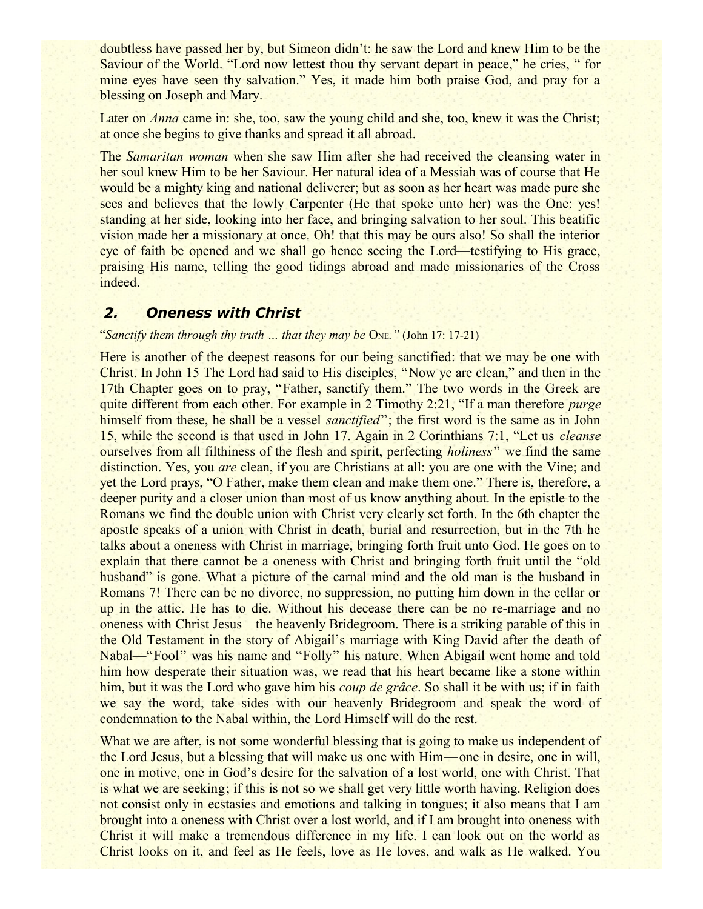doubtless have passed her by, but Simeon didn't: he saw the Lord and knew Him to be the Saviour of the World. "Lord now lettest thou thy servant depart in peace," he cries, " for mine eyes have seen thy salvation." Yes, it made him both praise God, and pray for a blessing on Joseph and Mary.

Later on *Anna* came in: she, too, saw the young child and she, too, knew it was the Christ; at once she begins to give thanks and spread it all abroad.

The *Samaritan woman* when she saw Him after she had received the cleansing water in her soul knew Him to be her Saviour. Her natural idea of a Messiah was of course that He would be a mighty king and national deliverer; but as soon as her heart was made pure she sees and believes that the lowly Carpenter (He that spoke unto her) was the One: yes! standing at her side, looking into her face, and bringing salvation to her soul. This beatific vision made her a missionary at once. Oh! that this may be ours also! So shall the interior eye of faith be opened and we shall go hence seeing the Lord—testifying to His grace, praising His name, telling the good tidings abroad and made missionaries of the Cross indeed.

#### *2. Oneness with Christ*

#### "*Sanctify them through thy truth … that they may be* ONE*."* (John 17: 17-21)

Here is another of the deepest reasons for our being sanctified: that we may be one with Christ. In John 15 The Lord had said to His disciples, "Now ye are clean," and then in the 17th Chapter goes on to pray, "Father, sanctify them." The two words in the Greek are quite different from each other. For example in 2 Timothy 2:21, "If a man therefore *purge* himself from these, he shall be a vessel *sanctified*"; the first word is the same as in John 15, while the second is that used in John 17. Again in 2 Corinthians 7:1, "Let us *cleanse* ourselves from all filthiness of the flesh and spirit, perfecting *holiness*" we find the same distinction. Yes, you *are* clean, if you are Christians at all: you are one with the Vine; and yet the Lord prays, "O Father, make them clean and make them one." There is, therefore, a deeper purity and a closer union than most of us know anything about. In the epistle to the Romans we find the double union with Christ very clearly set forth. In the 6th chapter the apostle speaks of a union with Christ in death, burial and resurrection, but in the 7th he talks about a oneness with Christ in marriage, bringing forth fruit unto God. He goes on to explain that there cannot be a oneness with Christ and bringing forth fruit until the "old husband" is gone. What a picture of the carnal mind and the old man is the husband in Romans 7! There can be no divorce, no suppression, no putting him down in the cellar or up in the attic. He has to die. Without his decease there can be no re-marriage and no oneness with Christ Jesus—the heavenly Bridegroom. There is a striking parable of this in the Old Testament in the story of Abigail's marriage with King David after the death of Nabal—"Fool" was his name and "Folly" his nature. When Abigail went home and told him how desperate their situation was, we read that his heart became like a stone within him, but it was the Lord who gave him his *coup de grâce*. So shall it be with us; if in faith we say the word, take sides with our heavenly Bridegroom and speak the word of condemnation to the Nabal within, the Lord Himself will do the rest.

What we are after, is not some wonderful blessing that is going to make us independent of the Lord Jesus, but a blessing that will make us one with Him—one in desire, one in will, one in motive, one in God's desire for the salvation of a lost world, one with Christ. That is what we are seeking; if this is not so we shall get very little worth having. Religion does not consist only in ecstasies and emotions and talking in tongues; it also means that I am brought into a oneness with Christ over a lost world, and if I am brought into oneness with Christ it will make a tremendous difference in my life. I can look out on the world as Christ looks on it, and feel as He feels, love as He loves, and walk as He walked. You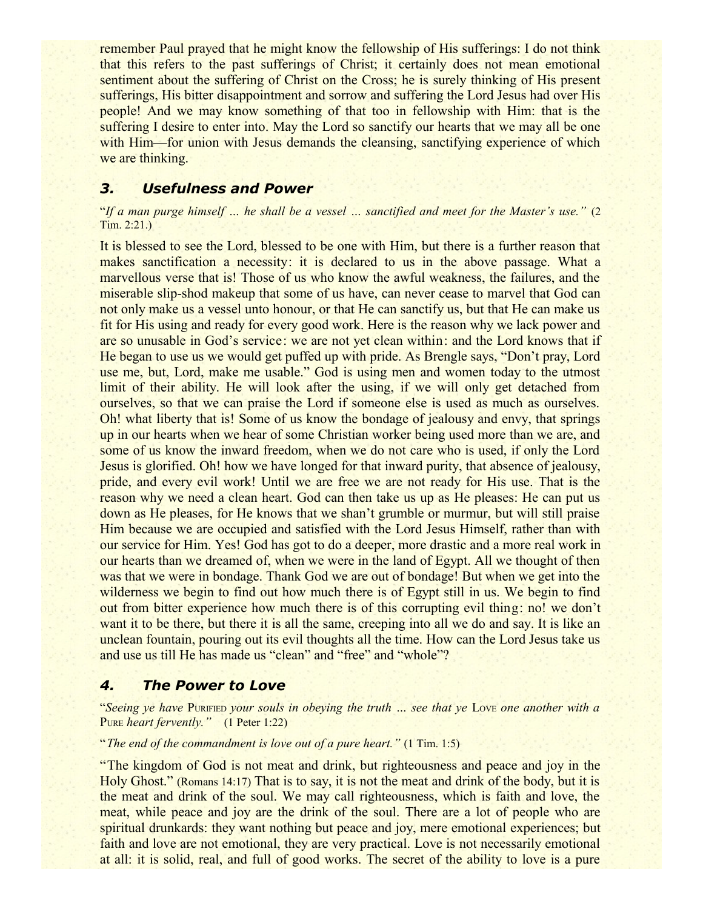remember Paul prayed that he might know the fellowship of His sufferings: I do not think that this refers to the past sufferings of Christ; it certainly does not mean emotional sentiment about the suffering of Christ on the Cross; he is surely thinking of His present sufferings, His bitter disappointment and sorrow and suffering the Lord Jesus had over His people! And we may know something of that too in fellowship with Him: that is the suffering I desire to enter into. May the Lord so sanctify our hearts that we may all be one with Him—for union with Jesus demands the cleansing, sanctifying experience of which we are thinking.

#### *3. Usefulness and Power*

"*If a man purge himself … he shall be a vessel … sanctified and meet for the Master's use."* (2 Tim. 2:21.)

It is blessed to see the Lord, blessed to be one with Him, but there is a further reason that makes sanctification a necessity: it is declared to us in the above passage. What a marvellous verse that is! Those of us who know the awful weakness, the failures, and the miserable slip-shod makeup that some of us have, can never cease to marvel that God can not only make us a vessel unto honour, or that He can sanctify us, but that He can make us fit for His using and ready for every good work. Here is the reason why we lack power and are so unusable in God's service: we are not yet clean within: and the Lord knows that if He began to use us we would get puffed up with pride. As Brengle says, "Don't pray, Lord use me, but, Lord, make me usable." God is using men and women today to the utmost limit of their ability. He will look after the using, if we will only get detached from ourselves, so that we can praise the Lord if someone else is used as much as ourselves. Oh! what liberty that is! Some of us know the bondage of jealousy and envy, that springs up in our hearts when we hear of some Christian worker being used more than we are, and some of us know the inward freedom, when we do not care who is used, if only the Lord Jesus is glorified. Oh! how we have longed for that inward purity, that absence of jealousy, pride, and every evil work! Until we are free we are not ready for His use. That is the reason why we need a clean heart. God can then take us up as He pleases: He can put us down as He pleases, for He knows that we shan't grumble or murmur, but will still praise Him because we are occupied and satisfied with the Lord Jesus Himself, rather than with our service for Him. Yes! God has got to do a deeper, more drastic and a more real work in our hearts than we dreamed of, when we were in the land of Egypt. All we thought of then was that we were in bondage. Thank God we are out of bondage! But when we get into the wilderness we begin to find out how much there is of Egypt still in us. We begin to find out from bitter experience how much there is of this corrupting evil thing: no! we don't want it to be there, but there it is all the same, creeping into all we do and say. It is like an unclean fountain, pouring out its evil thoughts all the time. How can the Lord Jesus take us and use us till He has made us "clean" and "free" and "whole"?

#### *4. The Power to Love*

"*Seeing ye have* PURIFIED *your souls in obeying the truth … see that ye* LOVE *one another with a* PURE *heart fervently."* (1 Peter 1:22)

"*The end of the commandment is love out of a pure heart."* (1 Tim. 1:5)

"The kingdom of God is not meat and drink, but righteousness and peace and joy in the Holy Ghost." (Romans 14:17) That is to say, it is not the meat and drink of the body, but it is the meat and drink of the soul. We may call righteousness, which is faith and love, the meat, while peace and joy are the drink of the soul. There are a lot of people who are spiritual drunkards: they want nothing but peace and joy, mere emotional experiences; but faith and love are not emotional, they are very practical. Love is not necessarily emotional at all: it is solid, real, and full of good works. The secret of the ability to love is a pure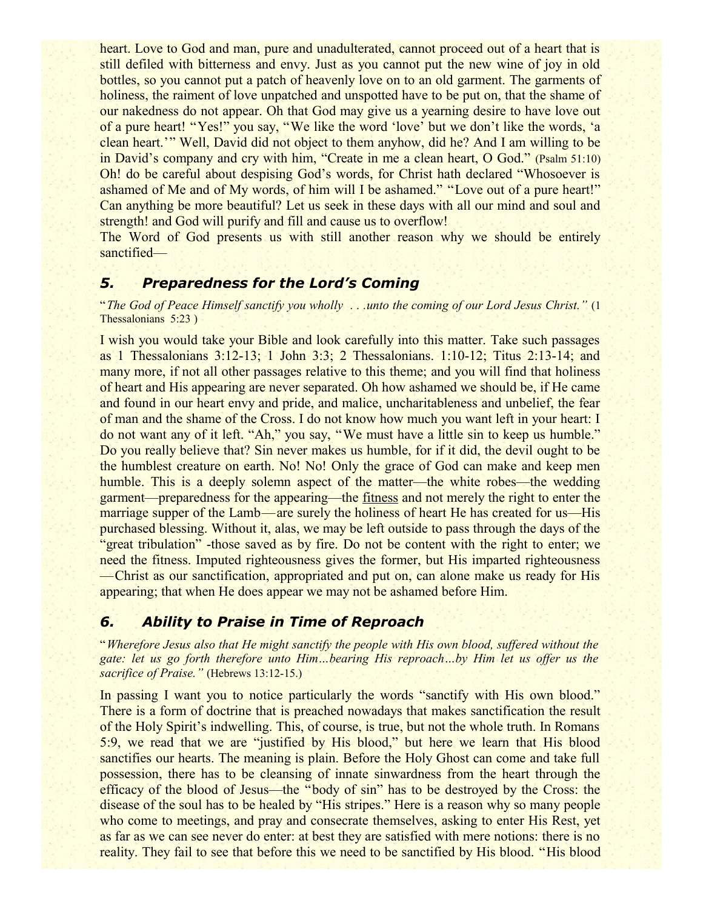heart. Love to God and man, pure and unadulterated, cannot proceed out of a heart that is still defiled with bitterness and envy. Just as you cannot put the new wine of joy in old bottles, so you cannot put a patch of heavenly love on to an old garment. The garments of holiness, the raiment of love unpatched and unspotted have to be put on, that the shame of our nakedness do not appear. Oh that God may give us a yearning desire to have love out of a pure heart! "Yes!" you say, "We like the word 'love' but we don't like the words, 'a clean heart.'" Well, David did not object to them anyhow, did he? And I am willing to be in David's company and cry with him, "Create in me a clean heart, O God." (Psalm 51:10) Oh! do be careful about despising God's words, for Christ hath declared "Whosoever is ashamed of Me and of My words, of him will I be ashamed." "Love out of a pure heart!" Can anything be more beautiful? Let us seek in these days with all our mind and soul and strength! and God will purify and fill and cause us to overflow!

The Word of God presents us with still another reason why we should be entirely sanctified—

#### *5. Preparedness for the Lord's Coming*

"*The God of Peace Himself sanctify you wholly . . .unto the coming of our Lord Jesus Christ."* (1 Thessalonians 5:23)

I wish you would take your Bible and look carefully into this matter. Take such passages as 1 Thessalonians 3:12-13; 1 John 3:3; 2 Thessalonians. 1:10-12; Titus 2:13-14; and many more, if not all other passages relative to this theme; and you will find that holiness of heart and His appearing are never separated. Oh how ashamed we should be, if He came and found in our heart envy and pride, and malice, uncharitableness and unbelief, the fear of man and the shame of the Cross. I do not know how much you want left in your heart: I do not want any of it left. "Ah," you say, "We must have a little sin to keep us humble." Do you really believe that? Sin never makes us humble, for if it did, the devil ought to be the humblest creature on earth. No! No! Only the grace of God can make and keep men humble. This is a deeply solemn aspect of the matter—the white robes—the wedding garment—preparedness for the appearing—the fitness and not merely the right to enter the marriage supper of the Lamb—are surely the holiness of heart He has created for us—His purchased blessing. Without it, alas, we may be left outside to pass through the days of the "great tribulation" -those saved as by fire. Do not be content with the right to enter; we need the fitness. Imputed righteousness gives the former, but His imparted righteousness —Christ as our sanctification, appropriated and put on, can alone make us ready for His appearing; that when He does appear we may not be ashamed before Him.

#### *6. Ability to Praise in Time of Reproach*

"*Wherefore Jesus also that He might sanctify the people with His own blood, suffered without the gate: let us go forth therefore unto Him…bearing His reproach…by Him let us offer us the sacrifice of Praise."* (Hebrews 13:12-15.)

In passing I want you to notice particularly the words "sanctify with His own blood." There is a form of doctrine that is preached nowadays that makes sanctification the result of the Holy Spirit's indwelling. This, of course, is true, but not the whole truth. In Romans 5:9, we read that we are "justified by His blood," but here we learn that His blood sanctifies our hearts. The meaning is plain. Before the Holy Ghost can come and take full possession, there has to be cleansing of innate sinwardness from the heart through the efficacy of the blood of Jesus—the "body of sin" has to be destroyed by the Cross: the disease of the soul has to be healed by "His stripes." Here is a reason why so many people who come to meetings, and pray and consecrate themselves, asking to enter His Rest, yet as far as we can see never do enter: at best they are satisfied with mere notions: there is no reality. They fail to see that before this we need to be sanctified by His blood. "His blood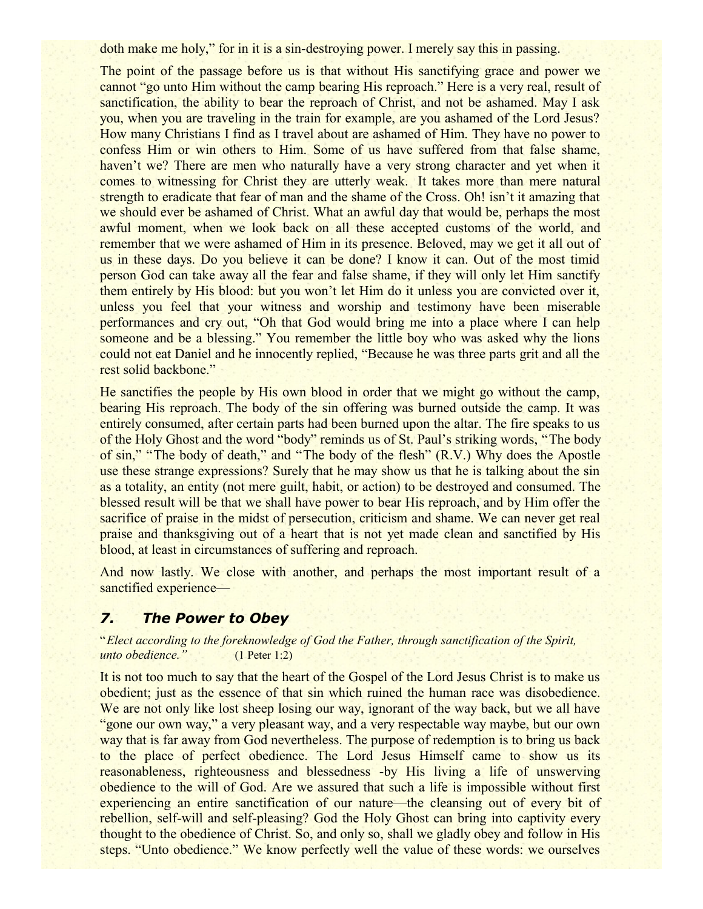doth make me holy," for in it is a sin-destroying power. I merely say this in passing.

The point of the passage before us is that without His sanctifying grace and power we cannot "go unto Him without the camp bearing His reproach." Here is a very real, result of sanctification, the ability to bear the reproach of Christ, and not be ashamed. May I ask you, when you are traveling in the train for example, are you ashamed of the Lord Jesus? How many Christians I find as I travel about are ashamed of Him. They have no power to confess Him or win others to Him. Some of us have suffered from that false shame, haven't we? There are men who naturally have a very strong character and yet when it comes to witnessing for Christ they are utterly weak. It takes more than mere natural strength to eradicate that fear of man and the shame of the Cross. Oh! isn't it amazing that we should ever be ashamed of Christ. What an awful day that would be, perhaps the most awful moment, when we look back on all these accepted customs of the world, and remember that we were ashamed of Him in its presence. Beloved, may we get it all out of us in these days. Do you believe it can be done? I know it can. Out of the most timid person God can take away all the fear and false shame, if they will only let Him sanctify them entirely by His blood: but you won't let Him do it unless you are convicted over it, unless you feel that your witness and worship and testimony have been miserable performances and cry out, "Oh that God would bring me into a place where I can help someone and be a blessing." You remember the little boy who was asked why the lions could not eat Daniel and he innocently replied, "Because he was three parts grit and all the rest solid backbone."

He sanctifies the people by His own blood in order that we might go without the camp, bearing His reproach. The body of the sin offering was burned outside the camp. It was entirely consumed, after certain parts had been burned upon the altar. The fire speaks to us of the Holy Ghost and the word "body" reminds us of St. Paul's striking words, "The body of sin," "The body of death," and "The body of the flesh" (R.V.) Why does the Apostle use these strange expressions? Surely that he may show us that he is talking about the sin as a totality, an entity (not mere guilt, habit, or action) to be destroyed and consumed. The blessed result will be that we shall have power to bear His reproach, and by Him offer the sacrifice of praise in the midst of persecution, criticism and shame. We can never get real praise and thanksgiving out of a heart that is not yet made clean and sanctified by His blood, at least in circumstances of suffering and reproach.

And now lastly. We close with another, and perhaps the most important result of a sanctified experience—

#### *7. The Power to Obey*

"*Elect according to the foreknowledge of God the Father, through sanctification of the Spirit, unto obedience."* (1 Peter 1:2)

It is not too much to say that the heart of the Gospel of the Lord Jesus Christ is to make us obedient; just as the essence of that sin which ruined the human race was disobedience. We are not only like lost sheep losing our way, ignorant of the way back, but we all have "gone our own way," a very pleasant way, and a very respectable way maybe, but our own way that is far away from God nevertheless. The purpose of redemption is to bring us back to the place of perfect obedience. The Lord Jesus Himself came to show us its reasonableness, righteousness and blessedness -by His living a life of unswerving obedience to the will of God. Are we assured that such a life is impossible without first experiencing an entire sanctification of our nature—the cleansing out of every bit of rebellion, self-will and self-pleasing? God the Holy Ghost can bring into captivity every thought to the obedience of Christ. So, and only so, shall we gladly obey and follow in His steps. "Unto obedience." We know perfectly well the value of these words: we ourselves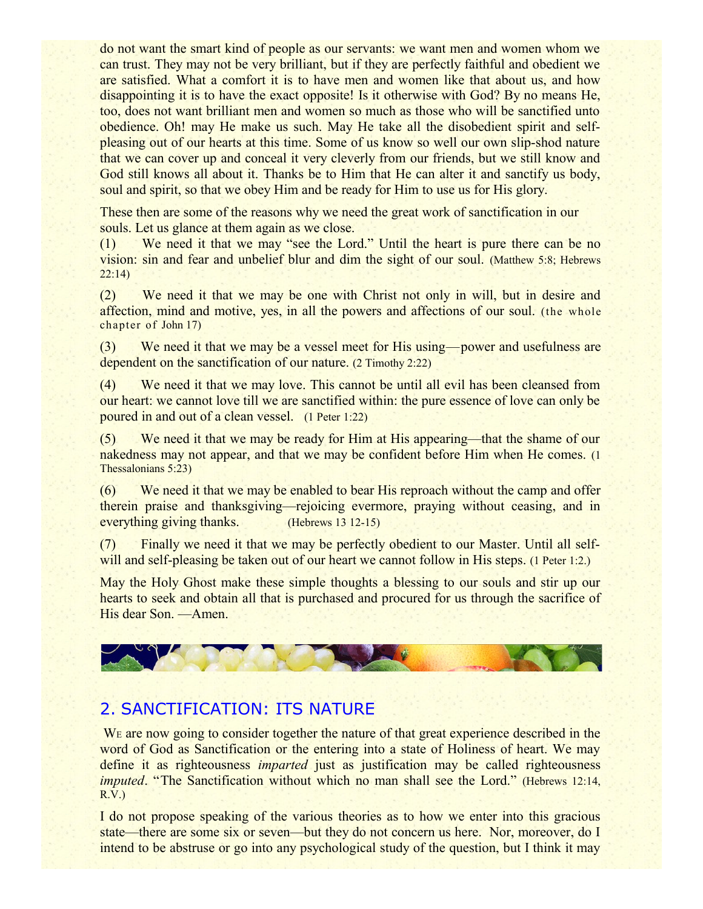do not want the smart kind of people as our servants: we want men and women whom we can trust. They may not be very brilliant, but if they are perfectly faithful and obedient we are satisfied. What a comfort it is to have men and women like that about us, and how disappointing it is to have the exact opposite! Is it otherwise with God? By no means He, too, does not want brilliant men and women so much as those who will be sanctified unto obedience. Oh! may He make us such. May He take all the disobedient spirit and selfpleasing out of our hearts at this time. Some of us know so well our own slip-shod nature that we can cover up and conceal it very cleverly from our friends, but we still know and God still knows all about it. Thanks be to Him that He can alter it and sanctify us body, soul and spirit, so that we obey Him and be ready for Him to use us for His glory.

These then are some of the reasons why we need the great work of sanctification in our souls. Let us glance at them again as we close.

(1) We need it that we may "see the Lord." Until the heart is pure there can be no vision: sin and fear and unbelief blur and dim the sight of our soul. (Matthew 5:8; Hebrews 22:14)

(2) We need it that we may be one with Christ not only in will, but in desire and affection, mind and motive, yes, in all the powers and affections of our soul. (the whole chapter of John 17)

(3) We need it that we may be a vessel meet for His using—power and usefulness are dependent on the sanctification of our nature. (2 Timothy 2:22)

(4) We need it that we may love. This cannot be until all evil has been cleansed from our heart: we cannot love till we are sanctified within: the pure essence of love can only be poured in and out of a clean vessel. (1 Peter 1:22)

(5) We need it that we may be ready for Him at His appearing—that the shame of our nakedness may not appear, and that we may be confident before Him when He comes. (1 Thessalonians 5:23)

(6) We need it that we may be enabled to bear His reproach without the camp and offer therein praise and thanksgiving—rejoicing evermore, praying without ceasing, and in everything giving thanks. (Hebrews 13 12-15)

(7) Finally we need it that we may be perfectly obedient to our Master. Until all selfwill and self-pleasing be taken out of our heart we cannot follow in His steps. (1 Peter 1:2.)

May the Holy Ghost make these simple thoughts a blessing to our souls and stir up our hearts to seek and obtain all that is purchased and procured for us through the sacrifice of His dear Son. —Amen.



# 2. SANCTIFICATION: ITS NATURE

W<sub>E</sub> are now going to consider together the nature of that great experience described in the word of God as Sanctification or the entering into a state of Holiness of heart. We may define it as righteousness *imparted* just as justification may be called righteousness *imputed*. "The Sanctification without which no man shall see the Lord." (Hebrews 12:14, R.V.)

I do not propose speaking of the various theories as to how we enter into this gracious state—there are some six or seven—but they do not concern us here. Nor, moreover, do I intend to be abstruse or go into any psychological study of the question, but I think it may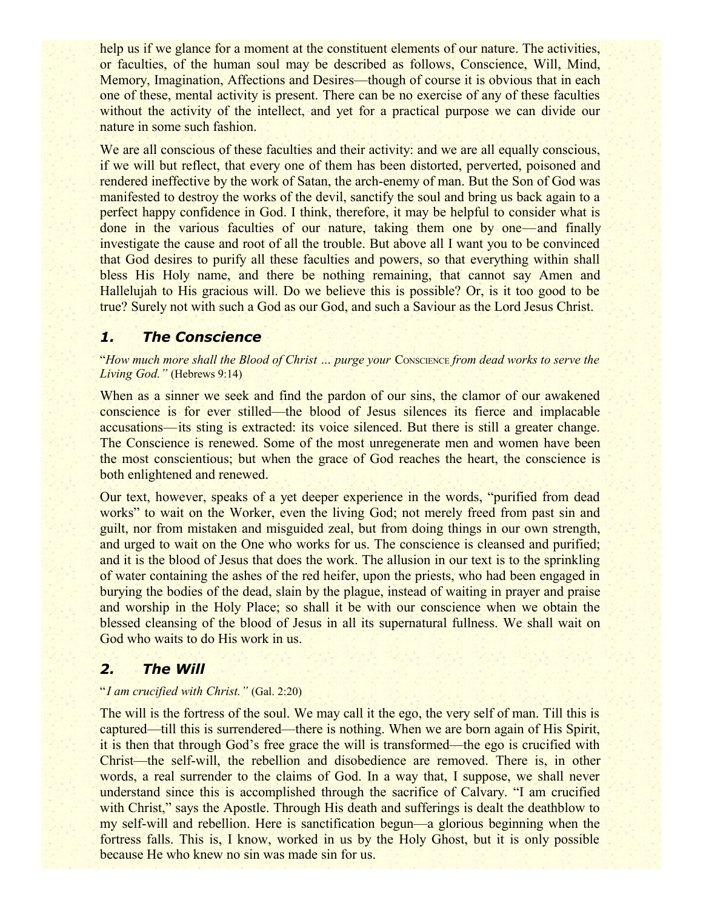help us if we glance for a moment at the constituent elements of our nature. The activities, or faculties, of the human soul may be described as follows, Conscience, Will, Mind, Memory, Imagination, Affections and Desires—though of course it is obvious that in each one of these, mental activity is present. There can be no exercise of any of these faculties without the activity of the intellect, and yet for a practical purpose we can divide our nature in some such fashion.

We are all conscious of these faculties and their activity: and we are all equally conscious, if we will but reflect, that every one of them has been distorted, perverted, poisoned and rendered ineffective by the work of Satan, the arch-enemy of man. But the Son of God was manifested to destroy the works of the devil, sanctify the soul and bring us back again to a perfect happy confidence in God. I think, therefore, it may be helpful to consider what is done in the various faculties of our nature, taking them one by one—and finally investigate the cause and root of all the trouble. But above all I want you to be convinced that God desires to purify all these faculties and powers, so that everything within shall bless His Holy name, and there be nothing remaining, that cannot say Amen and Hallelujah to His gracious will. Do we believe this is possible? Or, is it too good to be true? Surely not with such a God as our God, and such a Saviour as the Lord Jesus Christ.

#### *1. The Conscience*

"*How much more shall the Blood of Christ … purge your* CONSCIENCE *from dead works to serve the Living God."* (Hebrews 9:14)

When as a sinner we seek and find the pardon of our sins, the clamor of our awakened conscience is for ever stilled—the blood of Jesus silences its fierce and implacable accusations—its sting is extracted: its voice silenced. But there is still a greater change. The Conscience is renewed. Some of the most unregenerate men and women have been the most conscientious; but when the grace of God reaches the heart, the conscience is both enlightened and renewed.

Our text, however, speaks of a yet deeper experience in the words, "purified from dead works" to wait on the Worker, even the living God; not merely freed from past sin and guilt, nor from mistaken and misguided zeal, but from doing things in our own strength, and urged to wait on the One who works for us. The conscience is cleansed and purified; and it is the blood of Jesus that does the work. The allusion in our text is to the sprinkling of water containing the ashes of the red heifer, upon the priests, who had been engaged in burying the bodies of the dead, slain by the plague, instead of waiting in prayer and praise and worship in the Holy Place; so shall it be with our conscience when we obtain the blessed cleansing of the blood of Jesus in all its supernatural fullness. We shall wait on God who waits to do His work in us.

#### *2. The Will*

#### "*I am crucified with Christ."* (Gal. 2:20)

The will is the fortress of the soul. We may call it the ego, the very self of man. Till this is captured—till this is surrendered—there is nothing. When we are born again of His Spirit, it is then that through God's free grace the will is transformed—the ego is crucified with Christ—the self-will, the rebellion and disobedience are removed. There is, in other words, a real surrender to the claims of God. In a way that, I suppose, we shall never understand since this is accomplished through the sacrifice of Calvary. "I am crucified with Christ," says the Apostle. Through His death and sufferings is dealt the deathblow to my self-will and rebellion. Here is sanctification begun—a glorious beginning when the fortress falls. This is, I know, worked in us by the Holy Ghost, but it is only possible because He who knew no sin was made sin for us.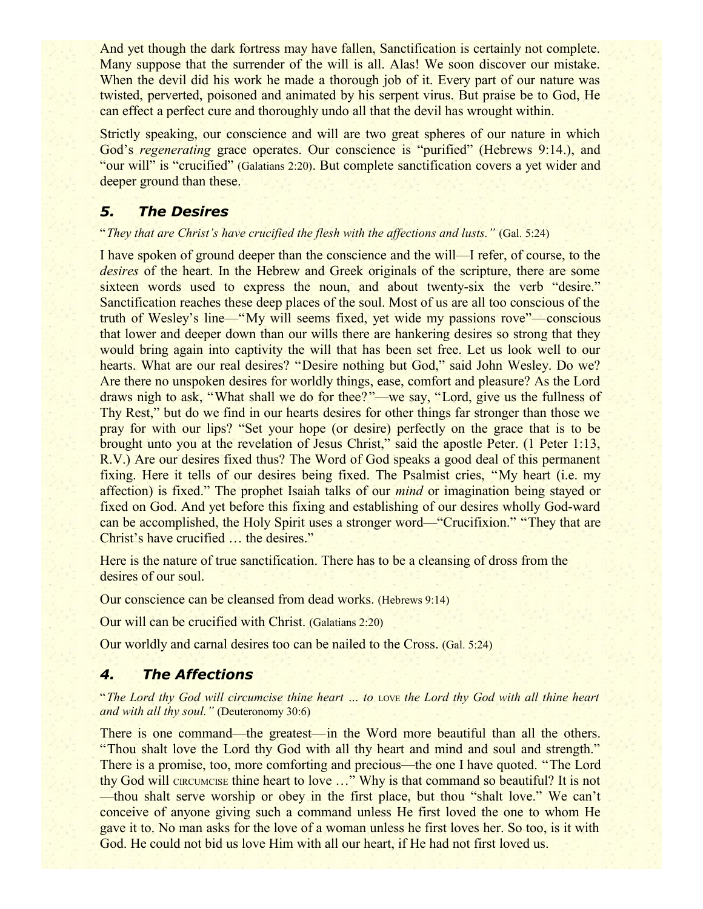And yet though the dark fortress may have fallen, Sanctification is certainly not complete. Many suppose that the surrender of the will is all. Alas! We soon discover our mistake. When the devil did his work he made a thorough job of it. Every part of our nature was twisted, perverted, poisoned and animated by his serpent virus. But praise be to God, He can effect a perfect cure and thoroughly undo all that the devil has wrought within.

Strictly speaking, our conscience and will are two great spheres of our nature in which God's *regenerating* grace operates. Our conscience is "purified" (Hebrews 9:14.), and "our will" is "crucified" (Galatians 2:20). But complete sanctification covers a yet wider and deeper ground than these.

## *5. The Desires*

#### "*They that are Christ's have crucified the flesh with the affections and lusts."* (Gal. 5:24)

I have spoken of ground deeper than the conscience and the will—I refer, of course, to the *desires* of the heart. In the Hebrew and Greek originals of the scripture, there are some sixteen words used to express the noun, and about twenty-six the verb "desire." Sanctification reaches these deep places of the soul. Most of us are all too conscious of the truth of Wesley's line—"My will seems fixed, yet wide my passions rove"—conscious that lower and deeper down than our wills there are hankering desires so strong that they would bring again into captivity the will that has been set free. Let us look well to our hearts. What are our real desires? "Desire nothing but God," said John Wesley. Do we? Are there no unspoken desires for worldly things, ease, comfort and pleasure? As the Lord draws nigh to ask, "What shall we do for thee?"—we say, "Lord, give us the fullness of Thy Rest," but do we find in our hearts desires for other things far stronger than those we pray for with our lips? "Set your hope (or desire) perfectly on the grace that is to be brought unto you at the revelation of Jesus Christ," said the apostle Peter. (1 Peter 1:13, R.V.) Are our desires fixed thus? The Word of God speaks a good deal of this permanent fixing. Here it tells of our desires being fixed. The Psalmist cries, "My heart (i.e. my affection) is fixed." The prophet Isaiah talks of our *mind* or imagination being stayed or fixed on God. And yet before this fixing and establishing of our desires wholly God-ward can be accomplished, the Holy Spirit uses a stronger word—"Crucifixion." "They that are Christ's have crucified … the desires."

Here is the nature of true sanctification. There has to be a cleansing of dross from the desires of our soul.

Our conscience can be cleansed from dead works. (Hebrews 9:14)

Our will can be crucified with Christ. (Galatians 2:20)

Our worldly and carnal desires too can be nailed to the Cross. (Gal. 5:24)

#### *4. The Affections*

"*The Lord thy God will circumcise thine heart … to* LOVE *the Lord thy God with all thine heart and with all thy soul."* (Deuteronomy 30:6)

There is one command—the greatest—in the Word more beautiful than all the others. "Thou shalt love the Lord thy God with all thy heart and mind and soul and strength." There is a promise, too, more comforting and precious—the one I have quoted. "The Lord thy God will CIRCUMCISE thine heart to love ..." Why is that command so beautiful? It is not —thou shalt serve worship or obey in the first place, but thou "shalt love." We can't conceive of anyone giving such a command unless He first loved the one to whom He gave it to. No man asks for the love of a woman unless he first loves her. So too, is it with God. He could not bid us love Him with all our heart, if He had not first loved us.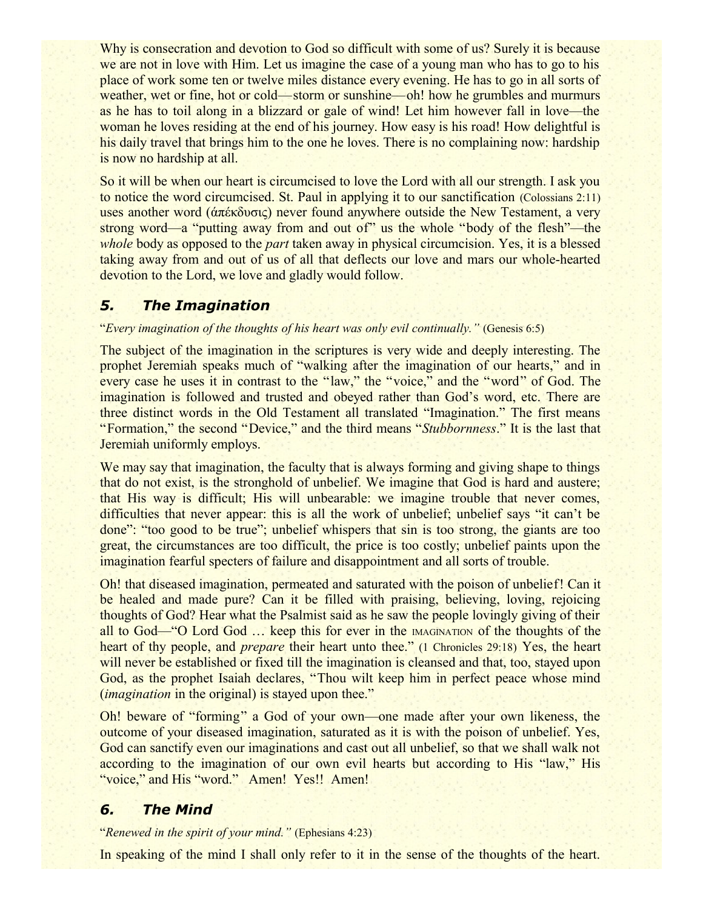Why is consecration and devotion to God so difficult with some of us? Surely it is because we are not in love with Him. Let us imagine the case of a young man who has to go to his place of work some ten or twelve miles distance every evening. He has to go in all sorts of weather, wet or fine, hot or cold—storm or sunshine—oh! how he grumbles and murmurs as he has to toil along in a blizzard or gale of wind! Let him however fall in love—the woman he loves residing at the end of his journey. How easy is his road! How delightful is his daily travel that brings him to the one he loves. There is no complaining now: hardship is now no hardship at all.

So it will be when our heart is circumcised to love the Lord with all our strength. I ask you to notice the word circumcised. St. Paul in applying it to our sanctification (Colossians 2:11) uses another word (άπέκδυσις) never found anywhere outside the New Testament, a very strong word—a "putting away from and out of" us the whole "body of the flesh"—the *whole* body as opposed to the *part* taken away in physical circumcision. Yes, it is a blessed taking away from and out of us of all that deflects our love and mars our whole-hearted devotion to the Lord, we love and gladly would follow.

## *5. The Imagination*

#### "*Every imagination of the thoughts of his heart was only evil continually."* (Genesis 6:5)

The subject of the imagination in the scriptures is very wide and deeply interesting. The prophet Jeremiah speaks much of "walking after the imagination of our hearts," and in every case he uses it in contrast to the "law," the "voice," and the "word" of God. The imagination is followed and trusted and obeyed rather than God's word, etc. There are three distinct words in the Old Testament all translated "Imagination." The first means "Formation," the second "Device," and the third means "*Stubbornness*." It is the last that Jeremiah uniformly employs.

We may say that imagination, the faculty that is always forming and giving shape to things that do not exist, is the stronghold of unbelief. We imagine that God is hard and austere; that His way is difficult; His will unbearable: we imagine trouble that never comes, difficulties that never appear: this is all the work of unbelief; unbelief says "it can't be done": "too good to be true"; unbelief whispers that sin is too strong, the giants are too great, the circumstances are too difficult, the price is too costly; unbelief paints upon the imagination fearful specters of failure and disappointment and all sorts of trouble.

Oh! that diseased imagination, permeated and saturated with the poison of unbelief! Can it be healed and made pure? Can it be filled with praising, believing, loving, rejoicing thoughts of God? Hear what the Psalmist said as he saw the people lovingly giving of their all to God—"O Lord God … keep this for ever in the IMAGINATION of the thoughts of the heart of thy people, and *prepare* their heart unto thee." (1 Chronicles 29:18) Yes, the heart will never be established or fixed till the imagination is cleansed and that, too, stayed upon God, as the prophet Isaiah declares, "Thou wilt keep him in perfect peace whose mind (*imagination* in the original) is stayed upon thee."

Oh! beware of "forming" a God of your own—one made after your own likeness, the outcome of your diseased imagination, saturated as it is with the poison of unbelief. Yes, God can sanctify even our imaginations and cast out all unbelief, so that we shall walk not according to the imagination of our own evil hearts but according to His "law," His "voice," and His "word." Amen! Yes!! Amen!

## *6. The Mind*

"*Renewed in the spirit of your mind."* (Ephesians 4:23)

In speaking of the mind I shall only refer to it in the sense of the thoughts of the heart.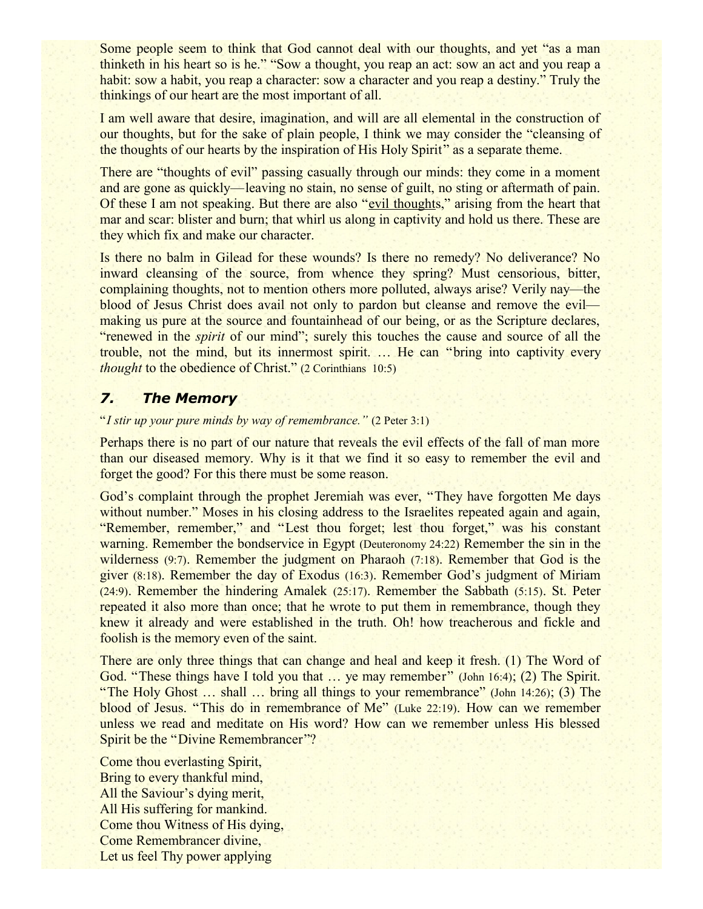Some people seem to think that God cannot deal with our thoughts, and yet "as a man thinketh in his heart so is he." "Sow a thought, you reap an act: sow an act and you reap a habit: sow a habit, you reap a character: sow a character and you reap a destiny." Truly the thinkings of our heart are the most important of all.

I am well aware that desire, imagination, and will are all elemental in the construction of our thoughts, but for the sake of plain people, I think we may consider the "cleansing of the thoughts of our hearts by the inspiration of His Holy Spirit" as a separate theme.

There are "thoughts of evil" passing casually through our minds: they come in a moment and are gone as quickly—leaving no stain, no sense of guilt, no sting or aftermath of pain. Of these I am not speaking. But there are also "evil thoughts," arising from the heart that mar and scar: blister and burn; that whirl us along in captivity and hold us there. These are they which fix and make our character.

Is there no balm in Gilead for these wounds? Is there no remedy? No deliverance? No inward cleansing of the source, from whence they spring? Must censorious, bitter, complaining thoughts, not to mention others more polluted, always arise? Verily nay—the blood of Jesus Christ does avail not only to pardon but cleanse and remove the evil making us pure at the source and fountainhead of our being, or as the Scripture declares, "renewed in the *spirit* of our mind"; surely this touches the cause and source of all the trouble, not the mind, but its innermost spirit. … He can "bring into captivity every *thought* to the obedience of Christ." (2 Corinthians 10:5)

## *7. The Memory*

"*I stir up your pure minds by way of remembrance."* (2 Peter 3:1)

Perhaps there is no part of our nature that reveals the evil effects of the fall of man more than our diseased memory. Why is it that we find it so easy to remember the evil and forget the good? For this there must be some reason.

God's complaint through the prophet Jeremiah was ever, "They have forgotten Me days without number." Moses in his closing address to the Israelites repeated again and again, "Remember, remember," and "Lest thou forget; lest thou forget," was his constant warning. Remember the bondservice in Egypt (Deuteronomy 24:22) Remember the sin in the wilderness (9:7). Remember the judgment on Pharaoh (7:18). Remember that God is the giver (8:18). Remember the day of Exodus (16:3). Remember God's judgment of Miriam (24:9). Remember the hindering Amalek (25:17). Remember the Sabbath (5:15). St. Peter repeated it also more than once; that he wrote to put them in remembrance, though they knew it already and were established in the truth. Oh! how treacherous and fickle and foolish is the memory even of the saint.

There are only three things that can change and heal and keep it fresh. (1) The Word of God. "These things have I told you that ... ye may remember" (John 16:4); (2) The Spirit. "The Holy Ghost … shall … bring all things to your remembrance" (John 14:26); (3) The blood of Jesus. "This do in remembrance of Me" (Luke 22:19). How can we remember unless we read and meditate on His word? How can we remember unless His blessed Spirit be the "Divine Remembrancer"?

Come thou everlasting Spirit, Bring to every thankful mind, All the Saviour's dying merit, All His suffering for mankind. Come thou Witness of His dying, Come Remembrancer divine, Let us feel Thy power applying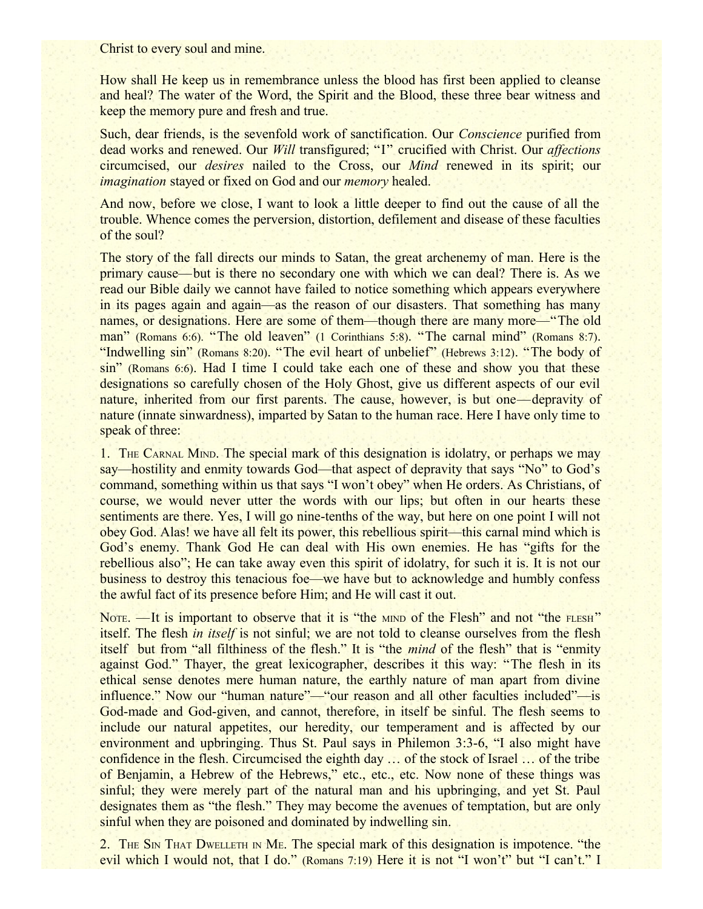Christ to every soul and mine.

How shall He keep us in remembrance unless the blood has first been applied to cleanse and heal? The water of the Word, the Spirit and the Blood, these three bear witness and keep the memory pure and fresh and true.

Such, dear friends, is the sevenfold work of sanctification. Our *Conscience* purified from dead works and renewed. Our *Will* transfigured; "I" crucified with Christ. Our *affections* circumcised, our *desires* nailed to the Cross, our *Mind* renewed in its spirit; our *imagination* stayed or fixed on God and our *memory* healed.

And now, before we close, I want to look a little deeper to find out the cause of all the trouble. Whence comes the perversion, distortion, defilement and disease of these faculties of the soul?

The story of the fall directs our minds to Satan, the great archenemy of man. Here is the primary cause—but is there no secondary one with which we can deal? There is. As we read our Bible daily we cannot have failed to notice something which appears everywhere in its pages again and again—as the reason of our disasters. That something has many names, or designations. Here are some of them—though there are many more—"The old man" (Romans 6:6). "The old leaven" (1 Corinthians 5:8). "The carnal mind" (Romans 8:7). "Indwelling sin" (Romans 8:20). "The evil heart of unbelief" (Hebrews 3:12). "The body of sin" (Romans 6:6). Had I time I could take each one of these and show you that these designations so carefully chosen of the Holy Ghost, give us different aspects of our evil nature, inherited from our first parents. The cause, however, is but one—depravity of nature (innate sinwardness), imparted by Satan to the human race. Here I have only time to speak of three:

1. THE CARNAL MIND. The special mark of this designation is idolatry, or perhaps we may say—hostility and enmity towards God—that aspect of depravity that says "No" to God's command, something within us that says "I won't obey" when He orders. As Christians, of course, we would never utter the words with our lips; but often in our hearts these sentiments are there. Yes, I will go nine-tenths of the way, but here on one point I will not obey God. Alas! we have all felt its power, this rebellious spirit—this carnal mind which is God's enemy. Thank God He can deal with His own enemies. He has "gifts for the rebellious also"; He can take away even this spirit of idolatry, for such it is. It is not our business to destroy this tenacious foe—we have but to acknowledge and humbly confess the awful fact of its presence before Him; and He will cast it out.

NOTE. —It is important to observe that it is "the MIND of the Flesh" and not "the FLESH" itself. The flesh *in itself* is not sinful; we are not told to cleanse ourselves from the flesh itself but from "all filthiness of the flesh." It is "the *mind* of the flesh" that is "enmity against God." Thayer, the great lexicographer, describes it this way: "The flesh in its ethical sense denotes mere human nature, the earthly nature of man apart from divine influence." Now our "human nature"—"our reason and all other faculties included"—is God-made and God-given, and cannot, therefore, in itself be sinful. The flesh seems to include our natural appetites, our heredity, our temperament and is affected by our environment and upbringing. Thus St. Paul says in Philemon 3:3-6, "I also might have confidence in the flesh. Circumcised the eighth day … of the stock of Israel … of the tribe of Benjamin, a Hebrew of the Hebrews," etc., etc., etc. Now none of these things was sinful; they were merely part of the natural man and his upbringing, and yet St. Paul designates them as "the flesh." They may become the avenues of temptation, but are only sinful when they are poisoned and dominated by indwelling sin.

2. THE SIN THAT DWELLETH IN ME. The special mark of this designation is impotence. "the evil which I would not, that I do." (Romans 7:19) Here it is not "I won't" but "I can't." I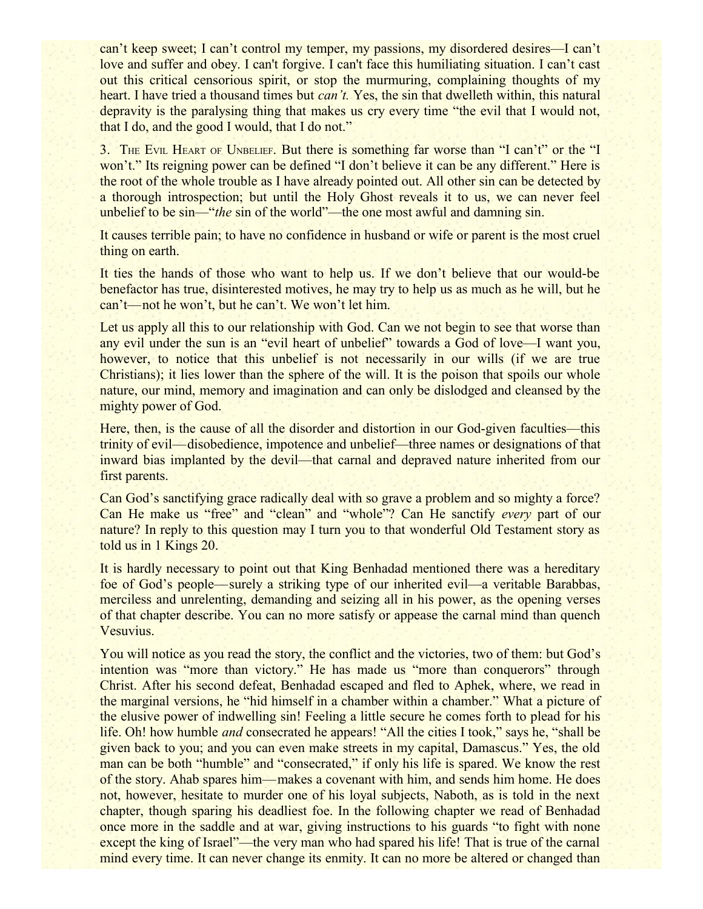can't keep sweet; I can't control my temper, my passions, my disordered desires—I can't love and suffer and obey. I can't forgive. I can't face this humiliating situation. I can't cast out this critical censorious spirit, or stop the murmuring, complaining thoughts of my heart. I have tried a thousand times but *can't.* Yes, the sin that dwelleth within, this natural depravity is the paralysing thing that makes us cry every time "the evil that I would not, that I do, and the good I would, that I do not."

3. THE EVIL HEART OF UNBELIEF. But there is something far worse than "I can't" or the "I won't." Its reigning power can be defined "I don't believe it can be any different." Here is the root of the whole trouble as I have already pointed out. All other sin can be detected by a thorough introspection; but until the Holy Ghost reveals it to us, we can never feel unbelief to be sin—"*the* sin of the world"—the one most awful and damning sin.

It causes terrible pain; to have no confidence in husband or wife or parent is the most cruel thing on earth.

It ties the hands of those who want to help us. If we don't believe that our would-be benefactor has true, disinterested motives, he may try to help us as much as he will, but he can't—not he won't, but he can't. We won't let him.

Let us apply all this to our relationship with God. Can we not begin to see that worse than any evil under the sun is an "evil heart of unbelief" towards a God of love—I want you, however, to notice that this unbelief is not necessarily in our wills (if we are true Christians); it lies lower than the sphere of the will. It is the poison that spoils our whole nature, our mind, memory and imagination and can only be dislodged and cleansed by the mighty power of God.

Here, then, is the cause of all the disorder and distortion in our God-given faculties—this trinity of evil—disobedience, impotence and unbelief—three names or designations of that inward bias implanted by the devil—that carnal and depraved nature inherited from our first parents.

Can God's sanctifying grace radically deal with so grave a problem and so mighty a force? Can He make us "free" and "clean" and "whole"? Can He sanctify *every* part of our nature? In reply to this question may I turn you to that wonderful Old Testament story as told us in 1 Kings 20.

It is hardly necessary to point out that King Benhadad mentioned there was a hereditary foe of God's people—surely a striking type of our inherited evil—a veritable Barabbas, merciless and unrelenting, demanding and seizing all in his power, as the opening verses of that chapter describe. You can no more satisfy or appease the carnal mind than quench Vesuvius.

You will notice as you read the story, the conflict and the victories, two of them: but God's intention was "more than victory." He has made us "more than conquerors" through Christ. After his second defeat, Benhadad escaped and fled to Aphek, where, we read in the marginal versions, he "hid himself in a chamber within a chamber." What a picture of the elusive power of indwelling sin! Feeling a little secure he comes forth to plead for his life. Oh! how humble *and* consecrated he appears! "All the cities I took," says he, "shall be given back to you; and you can even make streets in my capital, Damascus." Yes, the old man can be both "humble" and "consecrated," if only his life is spared. We know the rest of the story. Ahab spares him—makes a covenant with him, and sends him home. He does not, however, hesitate to murder one of his loyal subjects, Naboth, as is told in the next chapter, though sparing his deadliest foe. In the following chapter we read of Benhadad once more in the saddle and at war, giving instructions to his guards "to fight with none except the king of Israel"—the very man who had spared his life! That is true of the carnal mind every time. It can never change its enmity. It can no more be altered or changed than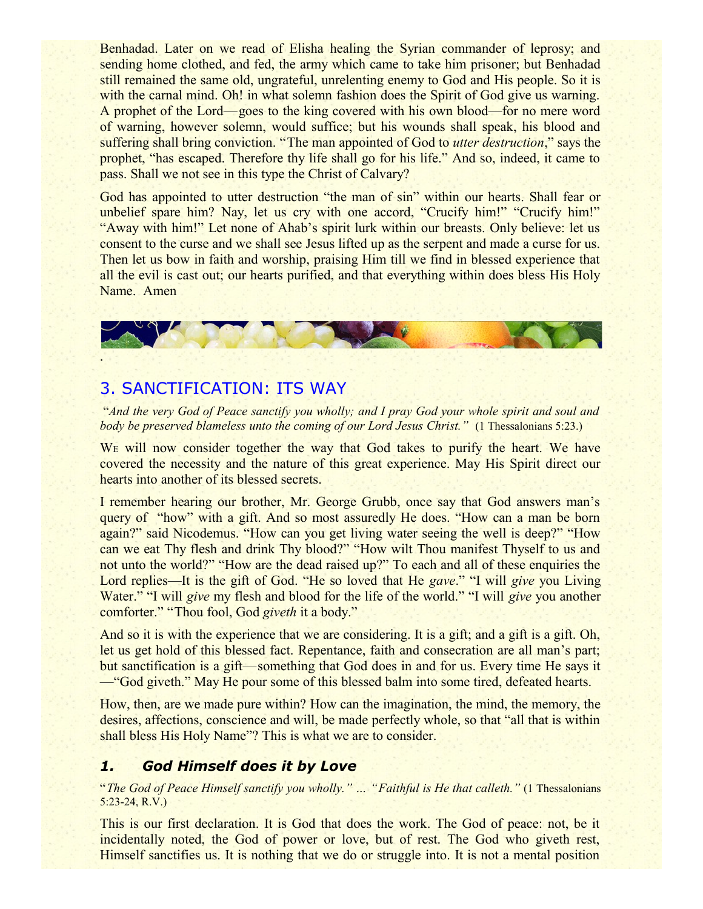Benhadad. Later on we read of Elisha healing the Syrian commander of leprosy; and sending home clothed, and fed, the army which came to take him prisoner; but Benhadad still remained the same old, ungrateful, unrelenting enemy to God and His people. So it is with the carnal mind. Oh! in what solemn fashion does the Spirit of God give us warning. A prophet of the Lord—goes to the king covered with his own blood—for no mere word of warning, however solemn, would suffice; but his wounds shall speak, his blood and suffering shall bring conviction. "The man appointed of God to *utter destruction*," says the prophet, "has escaped. Therefore thy life shall go for his life." And so, indeed, it came to pass. Shall we not see in this type the Christ of Calvary?

God has appointed to utter destruction "the man of sin" within our hearts. Shall fear or unbelief spare him? Nay, let us cry with one accord, "Crucify him!" "Crucify him!" "Away with him!" Let none of Ahab's spirit lurk within our breasts. Only believe: let us consent to the curse and we shall see Jesus lifted up as the serpent and made a curse for us. Then let us bow in faith and worship, praising Him till we find in blessed experience that all the evil is cast out; our hearts purified, and that everything within does bless His Holy Name. Amen



## 3. SANCTIFICATION: ITS WAY

"*And the very God of Peace sanctify you wholly; and I pray God your whole spirit and soul and body be preserved blameless unto the coming of our Lord Jesus Christ."* (1 Thessalonians 5:23.)

W<sub>E</sub> will now consider together the way that God takes to purify the heart. We have covered the necessity and the nature of this great experience. May His Spirit direct our hearts into another of its blessed secrets.

I remember hearing our brother, Mr. George Grubb, once say that God answers man's query of "how" with a gift. And so most assuredly He does. "How can a man be born again?" said Nicodemus. "How can you get living water seeing the well is deep?" "How can we eat Thy flesh and drink Thy blood?" "How wilt Thou manifest Thyself to us and not unto the world?" "How are the dead raised up?" To each and all of these enquiries the Lord replies—It is the gift of God. "He so loved that He *gave*." "I will *give* you Living Water." "I will *give* my flesh and blood for the life of the world." "I will *give* you another comforter." "Thou fool, God *giveth* it a body."

And so it is with the experience that we are considering. It is a gift; and a gift is a gift. Oh, let us get hold of this blessed fact. Repentance, faith and consecration are all man's part; but sanctification is a gift—something that God does in and for us. Every time He says it —"God giveth." May He pour some of this blessed balm into some tired, defeated hearts.

How, then, are we made pure within? How can the imagination, the mind, the memory, the desires, affections, conscience and will, be made perfectly whole, so that "all that is within shall bless His Holy Name"? This is what we are to consider.

## *1. God Himself does it by Love*

"*The God of Peace Himself sanctify you wholly." … "Faithful is He that calleth."* (1 Thessalonians 5:23-24, R.V.)

This is our first declaration. It is God that does the work. The God of peace: not, be it incidentally noted, the God of power or love, but of rest. The God who giveth rest, Himself sanctifies us. It is nothing that we do or struggle into. It is not a mental position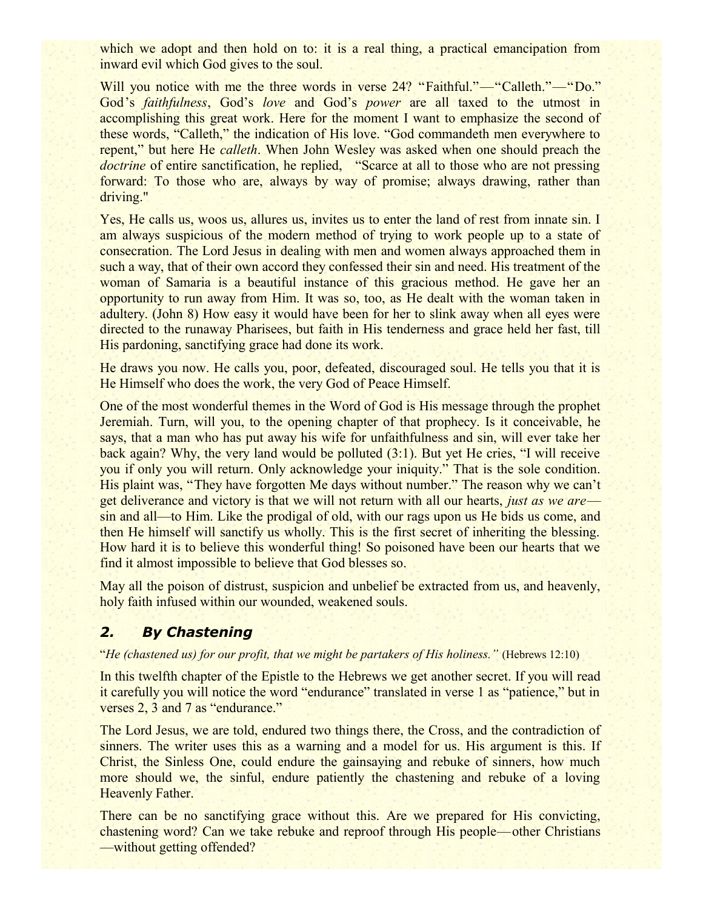which we adopt and then hold on to: it is a real thing, a practical emancipation from inward evil which God gives to the soul.

Will you notice with me the three words in verse 24? "Faithful."—"Calleth."—"Do." God's *faithfulness*, God's *love* and God's *power* are all taxed to the utmost in accomplishing this great work. Here for the moment I want to emphasize the second of these words, "Calleth," the indication of His love. "God commandeth men everywhere to repent," but here He *calleth*. When John Wesley was asked when one should preach the *doctrine* of entire sanctification, he replied, "Scarce at all to those who are not pressing forward: To those who are, always by way of promise; always drawing, rather than driving."

Yes, He calls us, woos us, allures us, invites us to enter the land of rest from innate sin. I am always suspicious of the modern method of trying to work people up to a state of consecration. The Lord Jesus in dealing with men and women always approached them in such a way, that of their own accord they confessed their sin and need. His treatment of the woman of Samaria is a beautiful instance of this gracious method. He gave her an opportunity to run away from Him. It was so, too, as He dealt with the woman taken in adultery. (John 8) How easy it would have been for her to slink away when all eyes were directed to the runaway Pharisees, but faith in His tenderness and grace held her fast, till His pardoning, sanctifying grace had done its work.

He draws you now. He calls you, poor, defeated, discouraged soul. He tells you that it is He Himself who does the work, the very God of Peace Himself.

One of the most wonderful themes in the Word of God is His message through the prophet Jeremiah. Turn, will you, to the opening chapter of that prophecy. Is it conceivable, he says, that a man who has put away his wife for unfaithfulness and sin, will ever take her back again? Why, the very land would be polluted (3:1). But yet He cries, "I will receive you if only you will return. Only acknowledge your iniquity." That is the sole condition. His plaint was, "They have forgotten Me days without number." The reason why we can't get deliverance and victory is that we will not return with all our hearts, *just as we are* sin and all—to Him. Like the prodigal of old, with our rags upon us He bids us come, and then He himself will sanctify us wholly. This is the first secret of inheriting the blessing. How hard it is to believe this wonderful thing! So poisoned have been our hearts that we find it almost impossible to believe that God blesses so.

May all the poison of distrust, suspicion and unbelief be extracted from us, and heavenly, holy faith infused within our wounded, weakened souls.

## *2. By Chastening*

"*He (chastened us) for our profit, that we might be partakers of His holiness."* (Hebrews 12:10)

In this twelfth chapter of the Epistle to the Hebrews we get another secret. If you will read it carefully you will notice the word "endurance" translated in verse 1 as "patience," but in verses 2, 3 and 7 as "endurance."

The Lord Jesus, we are told, endured two things there, the Cross, and the contradiction of sinners. The writer uses this as a warning and a model for us. His argument is this. If Christ, the Sinless One, could endure the gainsaying and rebuke of sinners, how much more should we, the sinful, endure patiently the chastening and rebuke of a loving Heavenly Father.

There can be no sanctifying grace without this. Are we prepared for His convicting, chastening word? Can we take rebuke and reproof through His people—other Christians —without getting offended?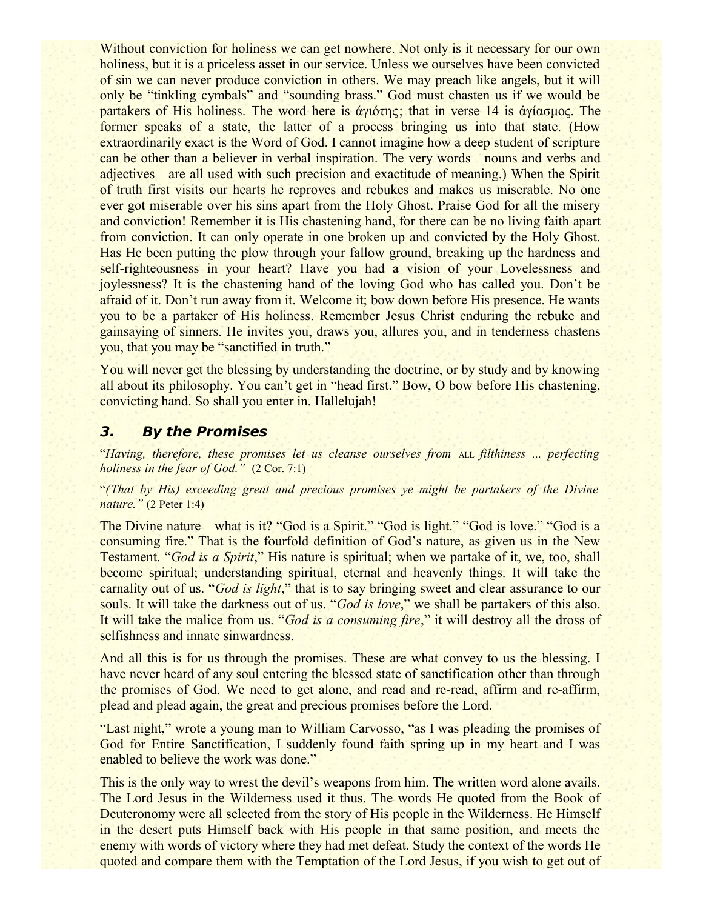Without conviction for holiness we can get nowhere. Not only is it necessary for our own holiness, but it is a priceless asset in our service. Unless we ourselves have been convicted of sin we can never produce conviction in others. We may preach like angels, but it will only be "tinkling cymbals" and "sounding brass." God must chasten us if we would be partakers of His holiness. The word here is άγιότης; that in verse 14 is άγίασμος. The former speaks of a state, the latter of a process bringing us into that state. (How extraordinarily exact is the Word of God. I cannot imagine how a deep student of scripture can be other than a believer in verbal inspiration. The very words—nouns and verbs and adjectives—are all used with such precision and exactitude of meaning.) When the Spirit of truth first visits our hearts he reproves and rebukes and makes us miserable. No one ever got miserable over his sins apart from the Holy Ghost. Praise God for all the misery and conviction! Remember it is His chastening hand, for there can be no living faith apart from conviction. It can only operate in one broken up and convicted by the Holy Ghost. Has He been putting the plow through your fallow ground, breaking up the hardness and self-righteousness in your heart? Have you had a vision of your Lovelessness and joylessness? It is the chastening hand of the loving God who has called you. Don't be afraid of it. Don't run away from it. Welcome it; bow down before His presence. He wants you to be a partaker of His holiness. Remember Jesus Christ enduring the rebuke and gainsaying of sinners. He invites you, draws you, allures you, and in tenderness chastens you, that you may be "sanctified in truth."

You will never get the blessing by understanding the doctrine, or by study and by knowing all about its philosophy. You can't get in "head first." Bow, O bow before His chastening, convicting hand. So shall you enter in. Hallelujah!

#### *3. By the Promises*

"*Having, therefore, these promises let us cleanse ourselves from* ALL *filthiness ... perfecting holiness in the fear of God."* (2 Cor. 7:1)

"*(That by His) exceeding great and precious promises ye might be partakers of the Divine nature."* (2 Peter 1:4)

The Divine nature—what is it? "God is a Spirit." "God is light." "God is love." "God is a consuming fire." That is the fourfold definition of God's nature, as given us in the New Testament. "*God is a Spirit*," His nature is spiritual; when we partake of it, we, too, shall become spiritual; understanding spiritual, eternal and heavenly things. It will take the carnality out of us. "*God is light*," that is to say bringing sweet and clear assurance to our souls. It will take the darkness out of us. "*God is love*," we shall be partakers of this also. It will take the malice from us. "*God is a consuming fire*," it will destroy all the dross of selfishness and innate sinwardness.

And all this is for us through the promises. These are what convey to us the blessing. I have never heard of any soul entering the blessed state of sanctification other than through the promises of God. We need to get alone, and read and re-read, affirm and re-affirm, plead and plead again, the great and precious promises before the Lord.

"Last night," wrote a young man to William Carvosso, "as I was pleading the promises of God for Entire Sanctification, I suddenly found faith spring up in my heart and I was enabled to believe the work was done."

This is the only way to wrest the devil's weapons from him. The written word alone avails. The Lord Jesus in the Wilderness used it thus. The words He quoted from the Book of Deuteronomy were all selected from the story of His people in the Wilderness. He Himself in the desert puts Himself back with His people in that same position, and meets the enemy with words of victory where they had met defeat. Study the context of the words He quoted and compare them with the Temptation of the Lord Jesus, if you wish to get out of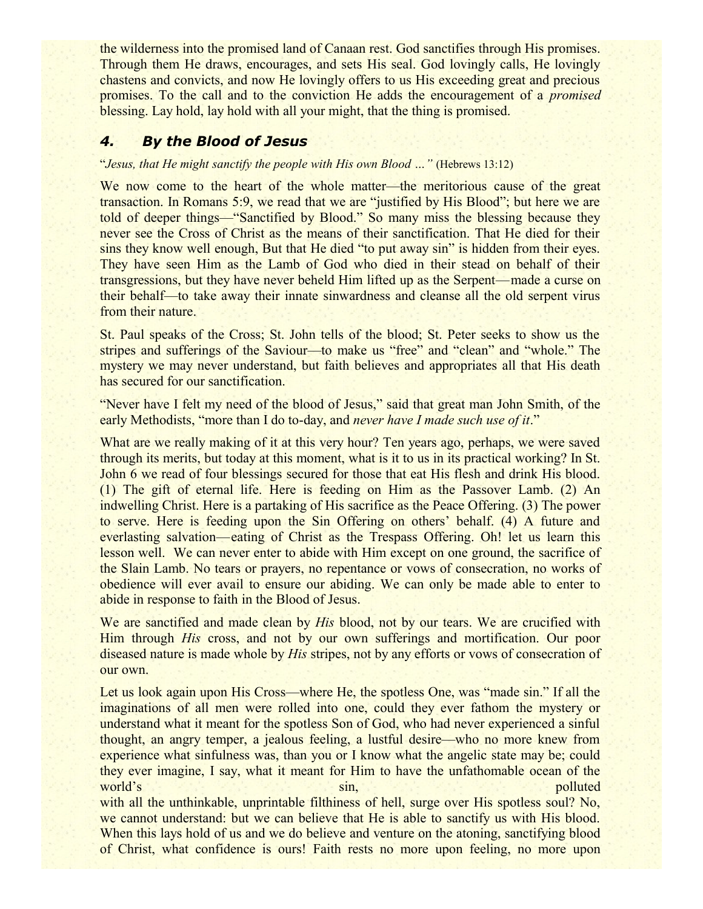the wilderness into the promised land of Canaan rest. God sanctifies through His promises. Through them He draws, encourages, and sets His seal. God lovingly calls, He lovingly chastens and convicts, and now He lovingly offers to us His exceeding great and precious promises. To the call and to the conviction He adds the encouragement of a *promised* blessing. Lay hold, lay hold with all your might, that the thing is promised.

## *4. By the Blood of Jesus*

#### "*Jesus, that He might sanctify the people with His own Blood …"* (Hebrews 13:12)

We now come to the heart of the whole matter—the meritorious cause of the great transaction. In Romans 5:9, we read that we are "justified by His Blood"; but here we are told of deeper things—"Sanctified by Blood." So many miss the blessing because they never see the Cross of Christ as the means of their sanctification. That He died for their sins they know well enough, But that He died "to put away sin" is hidden from their eyes. They have seen Him as the Lamb of God who died in their stead on behalf of their transgressions, but they have never beheld Him lifted up as the Serpent—made a curse on their behalf—to take away their innate sinwardness and cleanse all the old serpent virus from their nature.

St. Paul speaks of the Cross; St. John tells of the blood; St. Peter seeks to show us the stripes and sufferings of the Saviour—to make us "free" and "clean" and "whole." The mystery we may never understand, but faith believes and appropriates all that His death has secured for our sanctification.

"Never have I felt my need of the blood of Jesus," said that great man John Smith, of the early Methodists, "more than I do to-day, and *never have I made such use of it*."

What are we really making of it at this very hour? Ten years ago, perhaps, we were saved through its merits, but today at this moment, what is it to us in its practical working? In St. John 6 we read of four blessings secured for those that eat His flesh and drink His blood. (1) The gift of eternal life. Here is feeding on Him as the Passover Lamb. (2) An indwelling Christ. Here is a partaking of His sacrifice as the Peace Offering. (3) The power to serve. Here is feeding upon the Sin Offering on others' behalf. (4) A future and everlasting salvation—eating of Christ as the Trespass Offering. Oh! let us learn this lesson well. We can never enter to abide with Him except on one ground, the sacrifice of the Slain Lamb. No tears or prayers, no repentance or vows of consecration, no works of obedience will ever avail to ensure our abiding. We can only be made able to enter to abide in response to faith in the Blood of Jesus.

We are sanctified and made clean by *His* blood, not by our tears. We are crucified with Him through *His* cross, and not by our own sufferings and mortification. Our poor diseased nature is made whole by *His* stripes, not by any efforts or vows of consecration of our own.

Let us look again upon His Cross—where He, the spotless One, was "made sin." If all the imaginations of all men were rolled into one, could they ever fathom the mystery or understand what it meant for the spotless Son of God, who had never experienced a sinful thought, an angry temper, a jealous feeling, a lustful desire—who no more knew from experience what sinfulness was, than you or I know what the angelic state may be; could they ever imagine, I say, what it meant for Him to have the unfathomable ocean of the world's sin, sin, polluted world's polluted with all the unthinkable, unprintable filthiness of hell, surge over His spotless soul? No, we cannot understand: but we can believe that He is able to sanctify us with His blood. When this lays hold of us and we do believe and venture on the atoning, sanctifying blood of Christ, what confidence is ours! Faith rests no more upon feeling, no more upon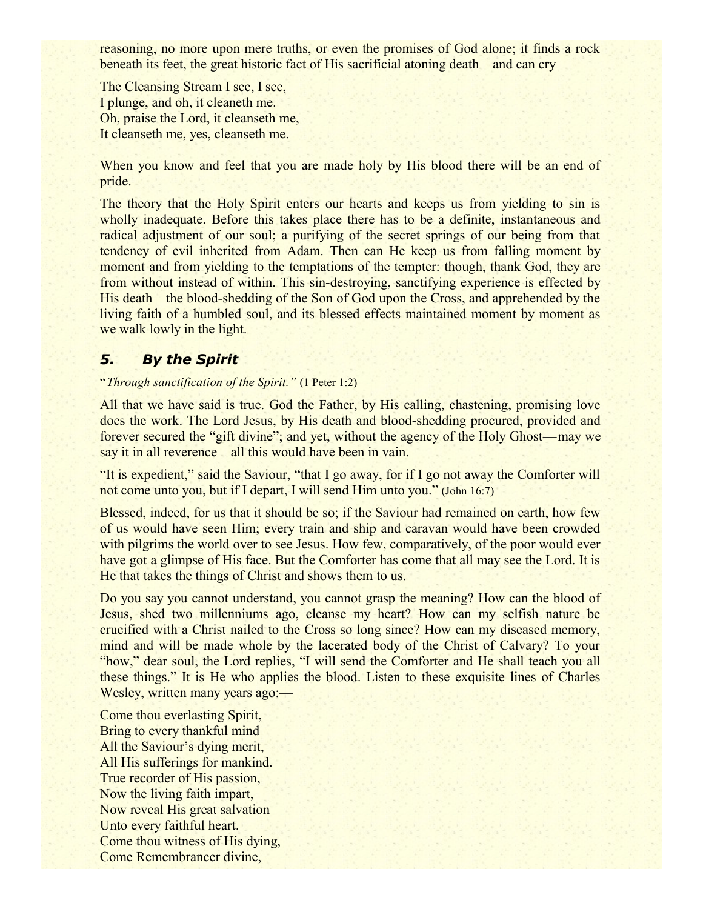reasoning, no more upon mere truths, or even the promises of God alone; it finds a rock beneath its feet, the great historic fact of His sacrificial atoning death—and can cry—

The Cleansing Stream I see, I see, I plunge, and oh, it cleaneth me. Oh, praise the Lord, it cleanseth me, It cleanseth me, yes, cleanseth me.

When you know and feel that you are made holy by His blood there will be an end of pride.

The theory that the Holy Spirit enters our hearts and keeps us from yielding to sin is wholly inadequate. Before this takes place there has to be a definite, instantaneous and radical adjustment of our soul; a purifying of the secret springs of our being from that tendency of evil inherited from Adam. Then can He keep us from falling moment by moment and from yielding to the temptations of the tempter: though, thank God, they are from without instead of within. This sin-destroying, sanctifying experience is effected by His death—the blood-shedding of the Son of God upon the Cross, and apprehended by the living faith of a humbled soul, and its blessed effects maintained moment by moment as we walk lowly in the light.

## *5. By the Spirit*

"*Through sanctification of the Spirit."* (1 Peter 1:2)

All that we have said is true. God the Father, by His calling, chastening, promising love does the work. The Lord Jesus, by His death and blood-shedding procured, provided and forever secured the "gift divine"; and yet, without the agency of the Holy Ghost—may we say it in all reverence—all this would have been in vain.

"It is expedient," said the Saviour, "that I go away, for if I go not away the Comforter will not come unto you, but if I depart, I will send Him unto you." (John 16:7)

Blessed, indeed, for us that it should be so; if the Saviour had remained on earth, how few of us would have seen Him; every train and ship and caravan would have been crowded with pilgrims the world over to see Jesus. How few, comparatively, of the poor would ever have got a glimpse of His face. But the Comforter has come that all may see the Lord. It is He that takes the things of Christ and shows them to us.

Do you say you cannot understand, you cannot grasp the meaning? How can the blood of Jesus, shed two millenniums ago, cleanse my heart? How can my selfish nature be crucified with a Christ nailed to the Cross so long since? How can my diseased memory, mind and will be made whole by the lacerated body of the Christ of Calvary? To your "how," dear soul, the Lord replies, "I will send the Comforter and He shall teach you all these things." It is He who applies the blood. Listen to these exquisite lines of Charles Wesley, written many years ago:—

Come thou everlasting Spirit, Bring to every thankful mind All the Saviour's dying merit, All His sufferings for mankind. True recorder of His passion, Now the living faith impart, Now reveal His great salvation Unto every faithful heart. Come thou witness of His dying, Come Remembrancer divine,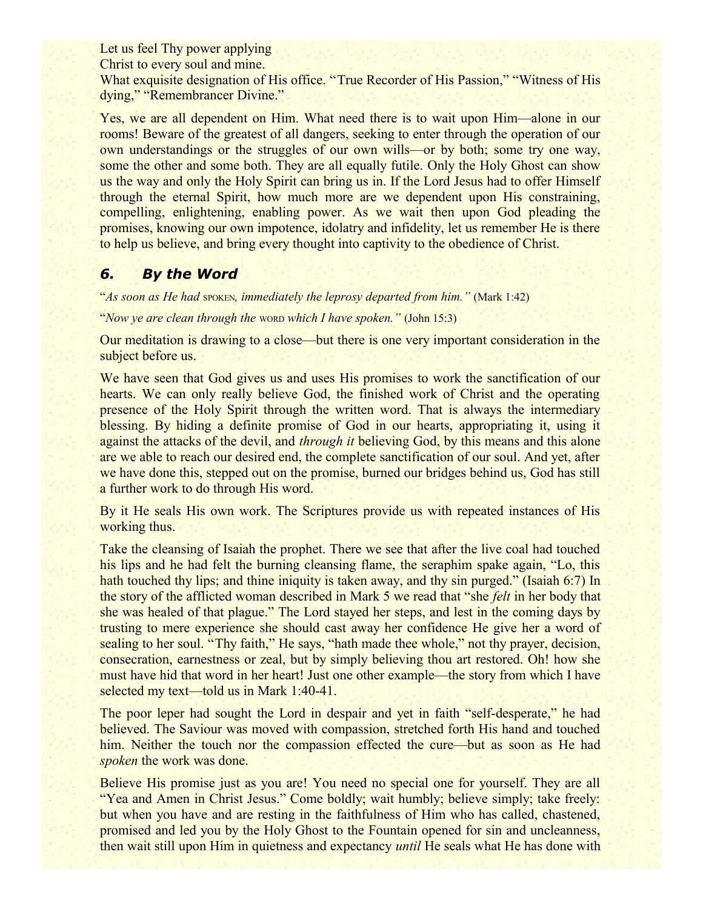Let us feel Thy power applying

Christ to every soul and mine.

What exquisite designation of His office. "True Recorder of His Passion," "Witness of His dying," "Remembrancer Divine."

Yes, we are all dependent on Him. What need there is to wait upon Him—alone in our rooms! Beware of the greatest of all dangers, seeking to enter through the operation of our own understandings or the struggles of our own wills—or by both; some try one way, some the other and some both. They are all equally futile. Only the Holy Ghost can show us the way and only the Holy Spirit can bring us in. If the Lord Jesus had to offer Himself through the eternal Spirit, how much more are we dependent upon His constraining, compelling, enlightening, enabling power. As we wait then upon God pleading the promises, knowing our own impotence, idolatry and infidelity, let us remember He is there to help us believe, and bring every thought into captivity to the obedience of Christ.

## *6. By the Word*

"*As soon as He had spoken, immediately the leprosy departed from him.*" (Mark 1:42)

"*Now ye are clean through the* WORD *which I have spoken."* (John 15:3)

Our meditation is drawing to a close—but there is one very important consideration in the subject before us.

We have seen that God gives us and uses His promises to work the sanctification of our hearts. We can only really believe God, the finished work of Christ and the operating presence of the Holy Spirit through the written word. That is always the intermediary blessing. By hiding a definite promise of God in our hearts, appropriating it, using it against the attacks of the devil, and *through it* believing God, by this means and this alone are we able to reach our desired end, the complete sanctification of our soul. And yet, after we have done this, stepped out on the promise, burned our bridges behind us, God has still a further work to do through His word.

By it He seals His own work. The Scriptures provide us with repeated instances of His working thus.

Take the cleansing of Isaiah the prophet. There we see that after the live coal had touched his lips and he had felt the burning cleansing flame, the seraphim spake again, "Lo, this hath touched thy lips; and thine iniquity is taken away, and thy sin purged." (Isaiah 6:7) In the story of the afflicted woman described in Mark 5 we read that "she *felt* in her body that she was healed of that plague." The Lord stayed her steps, and lest in the coming days by trusting to mere experience she should cast away her confidence He give her a word of sealing to her soul. "Thy faith," He says, "hath made thee whole," not thy prayer, decision, consecration, earnestness or zeal, but by simply believing thou art restored. Oh! how she must have hid that word in her heart! Just one other example—the story from which I have selected my text—told us in Mark 1:40-41.

The poor leper had sought the Lord in despair and yet in faith "self-desperate," he had believed. The Saviour was moved with compassion, stretched forth His hand and touched him. Neither the touch nor the compassion effected the cure—but as soon as He had *spoken* the work was done.

Believe His promise just as you are! You need no special one for yourself. They are all "Yea and Amen in Christ Jesus." Come boldly; wait humbly; believe simply; take freely: but when you have and are resting in the faithfulness of Him who has called, chastened, promised and led you by the Holy Ghost to the Fountain opened for sin and uncleanness, then wait still upon Him in quietness and expectancy *until* He seals what He has done with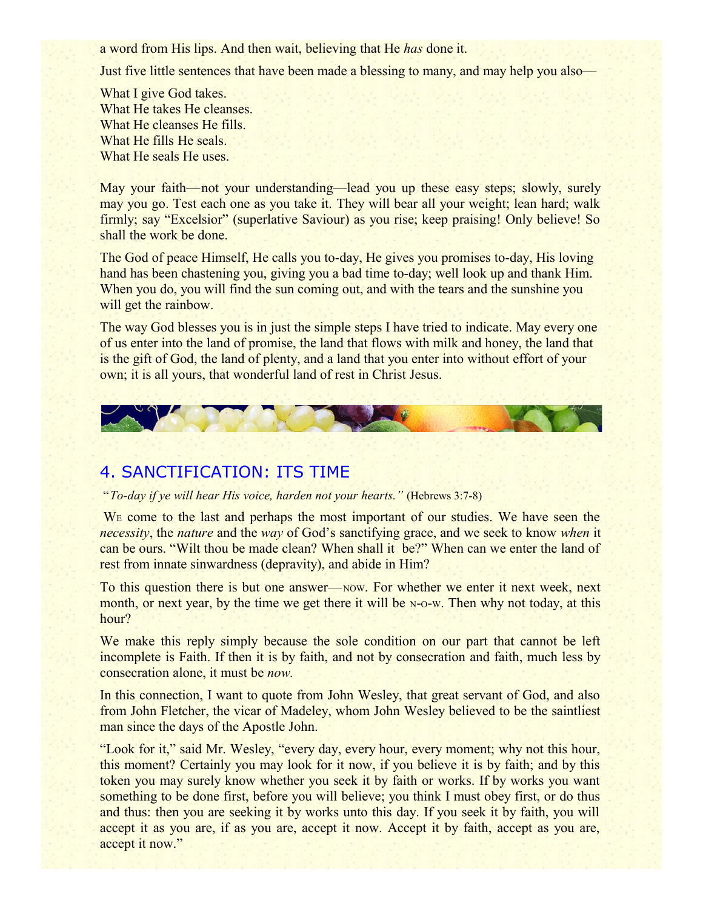a word from His lips. And then wait, believing that He *has* done it.

Just five little sentences that have been made a blessing to many, and may help you also—

What I give God takes. What He takes He cleanses. What He cleanses He fills. What He fills He seals. What He seals He uses.

May your faith—not your understanding—lead you up these easy steps; slowly, surely may you go. Test each one as you take it. They will bear all your weight; lean hard; walk firmly; say "Excelsior" (superlative Saviour) as you rise; keep praising! Only believe! So shall the work be done.

The God of peace Himself, He calls you to-day, He gives you promises to-day, His loving hand has been chastening you, giving you a bad time to-day; well look up and thank Him. When you do, you will find the sun coming out, and with the tears and the sunshine you will get the rainbow.

The way God blesses you is in just the simple steps I have tried to indicate. May every one of us enter into the land of promise, the land that flows with milk and honey, the land that is the gift of God, the land of plenty, and a land that you enter into without effort of your own; it is all yours, that wonderful land of rest in Christ Jesus.



## 4. SANCTIFICATION: ITS TIME

"*To-day if ye will hear His voice, harden not your hearts."* (Hebrews 3:7-8)

W<sub>E</sub> come to the last and perhaps the most important of our studies. We have seen the *necessity*, the *nature* and the *way* of God's sanctifying grace, and we seek to know *when* it can be ours. "Wilt thou be made clean? When shall it be?" When can we enter the land of rest from innate sinwardness (depravity), and abide in Him?

To this question there is but one answer—NOW. For whether we enter it next week, next month, or next year, by the time we get there it will be N-O-W. Then why not today, at this hour?

We make this reply simply because the sole condition on our part that cannot be left incomplete is Faith. If then it is by faith, and not by consecration and faith, much less by consecration alone, it must be *now.*

In this connection, I want to quote from John Wesley, that great servant of God, and also from John Fletcher, the vicar of Madeley, whom John Wesley believed to be the saintliest man since the days of the Apostle John.

"Look for it," said Mr. Wesley, "every day, every hour, every moment; why not this hour, this moment? Certainly you may look for it now, if you believe it is by faith; and by this token you may surely know whether you seek it by faith or works. If by works you want something to be done first, before you will believe; you think I must obey first, or do thus and thus: then you are seeking it by works unto this day. If you seek it by faith, you will accept it as you are, if as you are, accept it now. Accept it by faith, accept as you are, accept it now."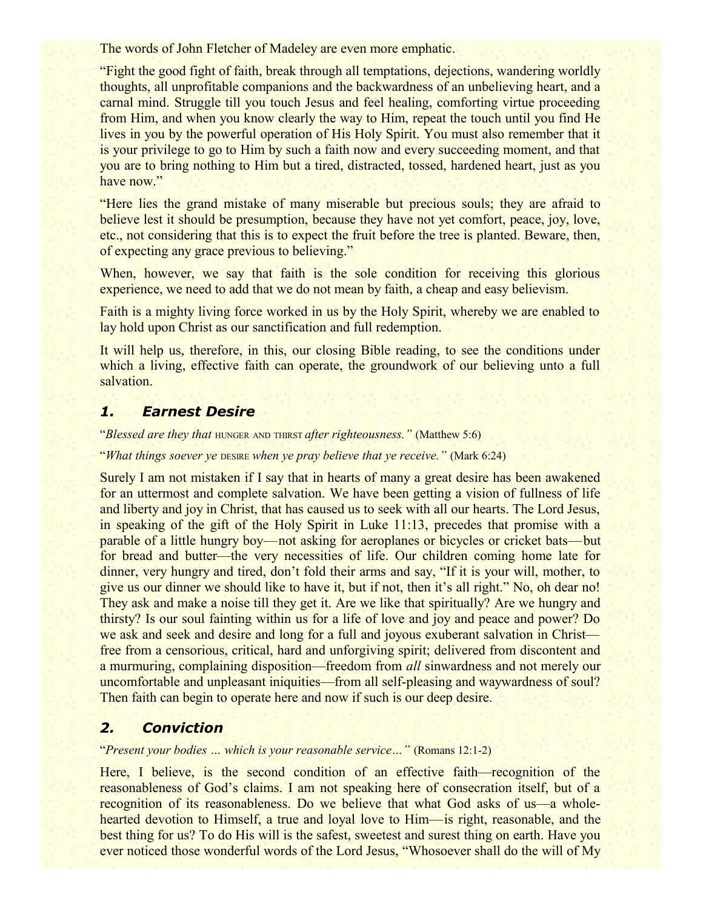The words of John Fletcher of Madeley are even more emphatic.

"Fight the good fight of faith, break through all temptations, dejections, wandering worldly thoughts, all unprofitable companions and the backwardness of an unbelieving heart, and a carnal mind. Struggle till you touch Jesus and feel healing, comforting virtue proceeding from Him, and when you know clearly the way to Him, repeat the touch until you find He lives in you by the powerful operation of His Holy Spirit. You must also remember that it is your privilege to go to Him by such a faith now and every succeeding moment, and that you are to bring nothing to Him but a tired, distracted, tossed, hardened heart, just as you have now."

"Here lies the grand mistake of many miserable but precious souls; they are afraid to believe lest it should be presumption, because they have not yet comfort, peace, joy, love, etc., not considering that this is to expect the fruit before the tree is planted. Beware, then, of expecting any grace previous to believing."

When, however, we say that faith is the sole condition for receiving this glorious experience, we need to add that we do not mean by faith, a cheap and easy believism.

Faith is a mighty living force worked in us by the Holy Spirit, whereby we are enabled to lay hold upon Christ as our sanctification and full redemption.

It will help us, therefore, in this, our closing Bible reading, to see the conditions under which a living, effective faith can operate, the groundwork of our believing unto a full salvation.

## *1. Earnest Desire*

"*Blessed are they that* HUNGER AND THIRST *after righteousness."* (Matthew 5:6)

"*What things soever ye* DESIRE *when ye pray believe that ye receive."* (Mark 6:24)

Surely I am not mistaken if I say that in hearts of many a great desire has been awakened for an uttermost and complete salvation. We have been getting a vision of fullness of life and liberty and joy in Christ, that has caused us to seek with all our hearts. The Lord Jesus, in speaking of the gift of the Holy Spirit in Luke 11:13, precedes that promise with a parable of a little hungry boy—not asking for aeroplanes or bicycles or cricket bats—but for bread and butter—the very necessities of life. Our children coming home late for dinner, very hungry and tired, don't fold their arms and say, "If it is your will, mother, to give us our dinner we should like to have it, but if not, then it's all right." No, oh dear no! They ask and make a noise till they get it. Are we like that spiritually? Are we hungry and thirsty? Is our soul fainting within us for a life of love and joy and peace and power? Do we ask and seek and desire and long for a full and joyous exuberant salvation in Christ free from a censorious, critical, hard and unforgiving spirit; delivered from discontent and a murmuring, complaining disposition—freedom from *all* sinwardness and not merely our uncomfortable and unpleasant iniquities—from all self-pleasing and waywardness of soul? Then faith can begin to operate here and now if such is our deep desire.

## *2. Conviction*

"*Present your bodies … which is your reasonable service…"* (Romans 12:1-2)

Here, I believe, is the second condition of an effective faith—recognition of the reasonableness of God's claims. I am not speaking here of consecration itself, but of a recognition of its reasonableness. Do we believe that what God asks of us—a wholehearted devotion to Himself, a true and loyal love to Him—is right, reasonable, and the best thing for us? To do His will is the safest, sweetest and surest thing on earth. Have you ever noticed those wonderful words of the Lord Jesus, "Whosoever shall do the will of My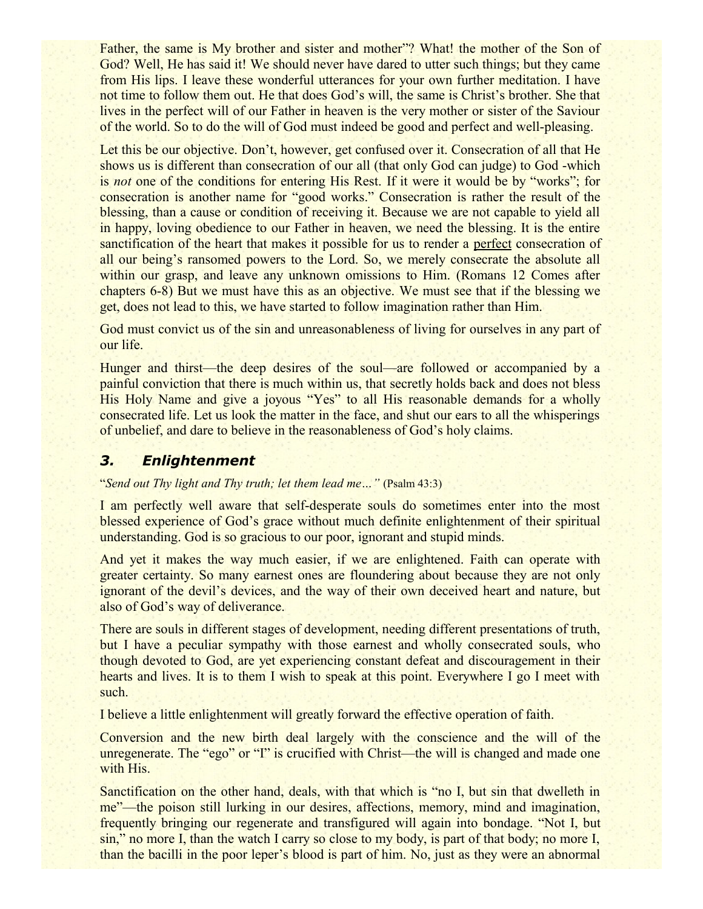Father, the same is My brother and sister and mother"? What! the mother of the Son of God? Well, He has said it! We should never have dared to utter such things; but they came from His lips. I leave these wonderful utterances for your own further meditation. I have not time to follow them out. He that does God's will, the same is Christ's brother. She that lives in the perfect will of our Father in heaven is the very mother or sister of the Saviour of the world. So to do the will of God must indeed be good and perfect and well-pleasing.

Let this be our objective. Don't, however, get confused over it. Consecration of all that He shows us is different than consecration of our all (that only God can judge) to God -which is *not* one of the conditions for entering His Rest. If it were it would be by "works"; for consecration is another name for "good works." Consecration is rather the result of the blessing, than a cause or condition of receiving it. Because we are not capable to yield all in happy, loving obedience to our Father in heaven, we need the blessing. It is the entire sanctification of the heart that makes it possible for us to render a perfect consecration of all our being's ransomed powers to the Lord. So, we merely consecrate the absolute all within our grasp, and leave any unknown omissions to Him. (Romans 12 Comes after chapters 6-8) But we must have this as an objective. We must see that if the blessing we get, does not lead to this, we have started to follow imagination rather than Him.

God must convict us of the sin and unreasonableness of living for ourselves in any part of our life.

Hunger and thirst—the deep desires of the soul—are followed or accompanied by a painful conviction that there is much within us, that secretly holds back and does not bless His Holy Name and give a joyous "Yes" to all His reasonable demands for a wholly consecrated life. Let us look the matter in the face, and shut our ears to all the whisperings of unbelief, and dare to believe in the reasonableness of God's holy claims.

## *3. Enlightenment*

"*Send out Thy light and Thy truth; let them lead me…"* (Psalm 43:3)

I am perfectly well aware that self-desperate souls do sometimes enter into the most blessed experience of God's grace without much definite enlightenment of their spiritual understanding. God is so gracious to our poor, ignorant and stupid minds.

And yet it makes the way much easier, if we are enlightened. Faith can operate with greater certainty. So many earnest ones are floundering about because they are not only ignorant of the devil's devices, and the way of their own deceived heart and nature, but also of God's way of deliverance.

There are souls in different stages of development, needing different presentations of truth, but I have a peculiar sympathy with those earnest and wholly consecrated souls, who though devoted to God, are yet experiencing constant defeat and discouragement in their hearts and lives. It is to them I wish to speak at this point. Everywhere I go I meet with such.

I believe a little enlightenment will greatly forward the effective operation of faith.

Conversion and the new birth deal largely with the conscience and the will of the unregenerate. The "ego" or "I" is crucified with Christ—the will is changed and made one with His.

Sanctification on the other hand, deals, with that which is "no I, but sin that dwelleth in me"—the poison still lurking in our desires, affections, memory, mind and imagination, frequently bringing our regenerate and transfigured will again into bondage. "Not I, but sin," no more I, than the watch I carry so close to my body, is part of that body; no more I, than the bacilli in the poor leper's blood is part of him. No, just as they were an abnormal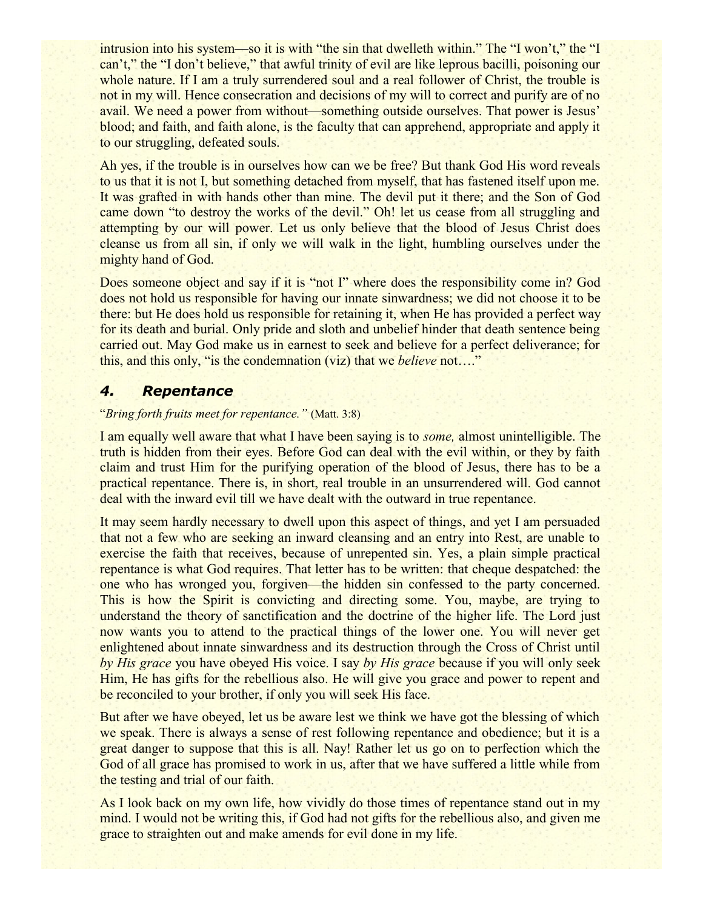intrusion into his system—so it is with "the sin that dwelleth within." The "I won't," the "I can't," the "I don't believe," that awful trinity of evil are like leprous bacilli, poisoning our whole nature. If I am a truly surrendered soul and a real follower of Christ, the trouble is not in my will. Hence consecration and decisions of my will to correct and purify are of no avail. We need a power from without—something outside ourselves. That power is Jesus' blood; and faith, and faith alone, is the faculty that can apprehend, appropriate and apply it to our struggling, defeated souls.

Ah yes, if the trouble is in ourselves how can we be free? But thank God His word reveals to us that it is not I, but something detached from myself, that has fastened itself upon me. It was grafted in with hands other than mine. The devil put it there; and the Son of God came down "to destroy the works of the devil." Oh! let us cease from all struggling and attempting by our will power. Let us only believe that the blood of Jesus Christ does cleanse us from all sin, if only we will walk in the light, humbling ourselves under the mighty hand of God.

Does someone object and say if it is "not I" where does the responsibility come in? God does not hold us responsible for having our innate sinwardness; we did not choose it to be there: but He does hold us responsible for retaining it, when He has provided a perfect way for its death and burial. Only pride and sloth and unbelief hinder that death sentence being carried out. May God make us in earnest to seek and believe for a perfect deliverance; for this, and this only, "is the condemnation (viz) that we *believe* not…."

## *4. Repentance*

#### "*Bring forth fruits meet for repentance."* (Matt. 3:8)

I am equally well aware that what I have been saying is to *some,* almost unintelligible. The truth is hidden from their eyes. Before God can deal with the evil within, or they by faith claim and trust Him for the purifying operation of the blood of Jesus, there has to be a practical repentance. There is, in short, real trouble in an unsurrendered will. God cannot deal with the inward evil till we have dealt with the outward in true repentance.

It may seem hardly necessary to dwell upon this aspect of things, and yet I am persuaded that not a few who are seeking an inward cleansing and an entry into Rest, are unable to exercise the faith that receives, because of unrepented sin. Yes, a plain simple practical repentance is what God requires. That letter has to be written: that cheque despatched: the one who has wronged you, forgiven—the hidden sin confessed to the party concerned. This is how the Spirit is convicting and directing some. You, maybe, are trying to understand the theory of sanctification and the doctrine of the higher life. The Lord just now wants you to attend to the practical things of the lower one. You will never get enlightened about innate sinwardness and its destruction through the Cross of Christ until *by His grace* you have obeyed His voice. I say *by His grace* because if you will only seek Him, He has gifts for the rebellious also. He will give you grace and power to repent and be reconciled to your brother, if only you will seek His face.

But after we have obeyed, let us be aware lest we think we have got the blessing of which we speak. There is always a sense of rest following repentance and obedience; but it is a great danger to suppose that this is all. Nay! Rather let us go on to perfection which the God of all grace has promised to work in us, after that we have suffered a little while from the testing and trial of our faith.

As I look back on my own life, how vividly do those times of repentance stand out in my mind. I would not be writing this, if God had not gifts for the rebellious also, and given me grace to straighten out and make amends for evil done in my life.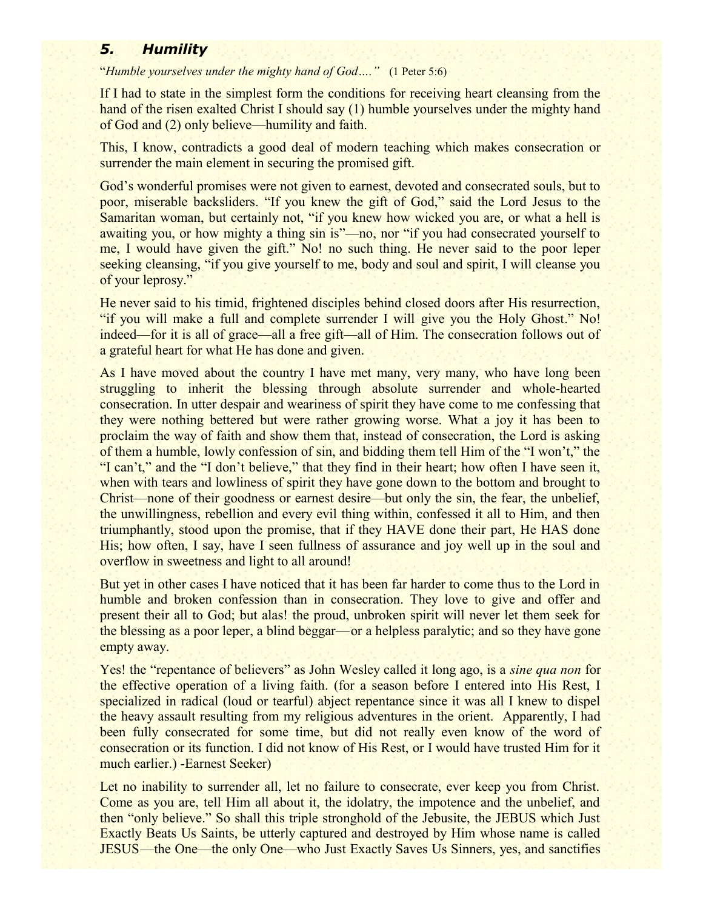## *5. Humility*

"*Humble yourselves under the mighty hand of God…."* (1 Peter 5:6)

If I had to state in the simplest form the conditions for receiving heart cleansing from the hand of the risen exalted Christ I should say (1) humble yourselves under the mighty hand of God and (2) only believe—humility and faith.

This, I know, contradicts a good deal of modern teaching which makes consecration or surrender the main element in securing the promised gift.

God's wonderful promises were not given to earnest, devoted and consecrated souls, but to poor, miserable backsliders. "If you knew the gift of God," said the Lord Jesus to the Samaritan woman, but certainly not, "if you knew how wicked you are, or what a hell is awaiting you, or how mighty a thing sin is"—no, nor "if you had consecrated yourself to me, I would have given the gift." No! no such thing. He never said to the poor leper seeking cleansing, "if you give yourself to me, body and soul and spirit, I will cleanse you of your leprosy."

He never said to his timid, frightened disciples behind closed doors after His resurrection, "if you will make a full and complete surrender I will give you the Holy Ghost." No! indeed—for it is all of grace—all a free gift—all of Him. The consecration follows out of a grateful heart for what He has done and given.

As I have moved about the country I have met many, very many, who have long been struggling to inherit the blessing through absolute surrender and whole-hearted consecration. In utter despair and weariness of spirit they have come to me confessing that they were nothing bettered but were rather growing worse. What a joy it has been to proclaim the way of faith and show them that, instead of consecration, the Lord is asking of them a humble, lowly confession of sin, and bidding them tell Him of the "I won't," the "I can't," and the "I don't believe," that they find in their heart; how often I have seen it, when with tears and lowliness of spirit they have gone down to the bottom and brought to Christ—none of their goodness or earnest desire—but only the sin, the fear, the unbelief, the unwillingness, rebellion and every evil thing within, confessed it all to Him, and then triumphantly, stood upon the promise, that if they HAVE done their part, He HAS done His; how often, I say, have I seen fullness of assurance and joy well up in the soul and overflow in sweetness and light to all around!

But yet in other cases I have noticed that it has been far harder to come thus to the Lord in humble and broken confession than in consecration. They love to give and offer and present their all to God; but alas! the proud, unbroken spirit will never let them seek for the blessing as a poor leper, a blind beggar—or a helpless paralytic; and so they have gone empty away.

Yes! the "repentance of believers" as John Wesley called it long ago, is a *sine qua non* for the effective operation of a living faith. (for a season before I entered into His Rest, I specialized in radical (loud or tearful) abject repentance since it was all I knew to dispel the heavy assault resulting from my religious adventures in the orient. Apparently, I had been fully consecrated for some time, but did not really even know of the word of consecration or its function. I did not know of His Rest, or I would have trusted Him for it much earlier.) -Earnest Seeker)

Let no inability to surrender all, let no failure to consecrate, ever keep you from Christ. Come as you are, tell Him all about it, the idolatry, the impotence and the unbelief, and then "only believe." So shall this triple stronghold of the Jebusite, the JEBUS which Just Exactly Beats Us Saints, be utterly captured and destroyed by Him whose name is called JESUS—the One—the only One—who Just Exactly Saves Us Sinners, yes, and sanctifies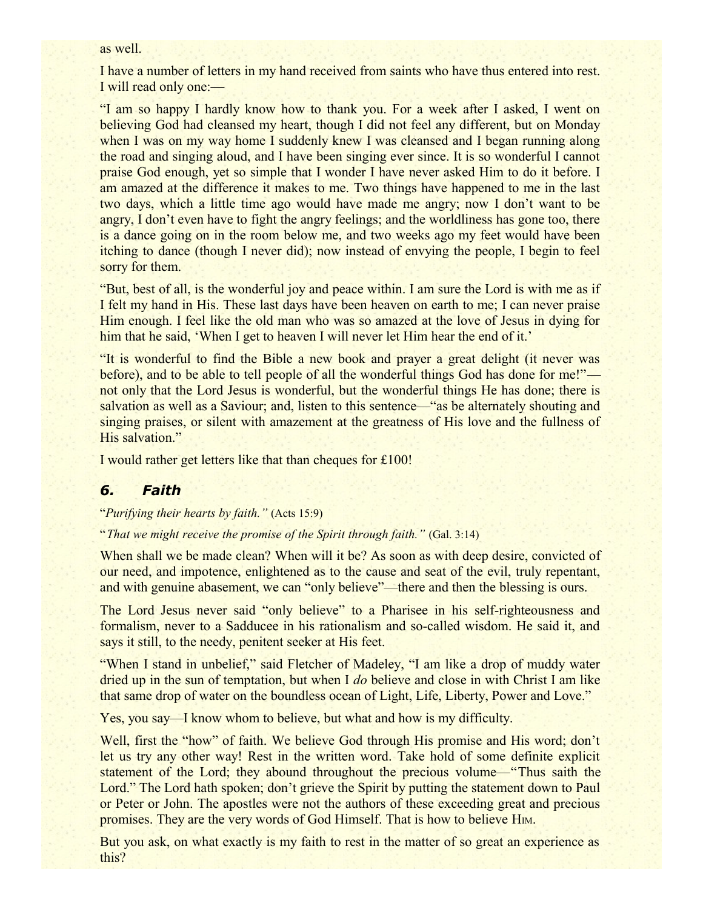#### as well.

I have a number of letters in my hand received from saints who have thus entered into rest. I will read only one:—

"I am so happy I hardly know how to thank you. For a week after I asked, I went on believing God had cleansed my heart, though I did not feel any different, but on Monday when I was on my way home I suddenly knew I was cleansed and I began running along the road and singing aloud, and I have been singing ever since. It is so wonderful I cannot praise God enough, yet so simple that I wonder I have never asked Him to do it before. I am amazed at the difference it makes to me. Two things have happened to me in the last two days, which a little time ago would have made me angry; now I don't want to be angry, I don't even have to fight the angry feelings; and the worldliness has gone too, there is a dance going on in the room below me, and two weeks ago my feet would have been itching to dance (though I never did); now instead of envying the people, I begin to feel sorry for them.

"But, best of all, is the wonderful joy and peace within. I am sure the Lord is with me as if I felt my hand in His. These last days have been heaven on earth to me; I can never praise Him enough. I feel like the old man who was so amazed at the love of Jesus in dying for him that he said, 'When I get to heaven I will never let Him hear the end of it.'

"It is wonderful to find the Bible a new book and prayer a great delight (it never was before), and to be able to tell people of all the wonderful things God has done for me!" not only that the Lord Jesus is wonderful, but the wonderful things He has done; there is salvation as well as a Saviour; and, listen to this sentence—"as be alternately shouting and singing praises, or silent with amazement at the greatness of His love and the fullness of His salvation."

I would rather get letters like that than cheques for £100!

#### *6. Faith*

"*Purifying their hearts by faith."* (Acts 15:9)

"*That we might receive the promise of the Spirit through faith."* (Gal. 3:14)

When shall we be made clean? When will it be? As soon as with deep desire, convicted of our need, and impotence, enlightened as to the cause and seat of the evil, truly repentant, and with genuine abasement, we can "only believe"—there and then the blessing is ours.

The Lord Jesus never said "only believe" to a Pharisee in his self-righteousness and formalism, never to a Sadducee in his rationalism and so-called wisdom. He said it, and says it still, to the needy, penitent seeker at His feet.

"When I stand in unbelief," said Fletcher of Madeley, "I am like a drop of muddy water dried up in the sun of temptation, but when I *do* believe and close in with Christ I am like that same drop of water on the boundless ocean of Light, Life, Liberty, Power and Love."

Yes, you say—I know whom to believe, but what and how is my difficulty.

Well, first the "how" of faith. We believe God through His promise and His word; don't let us try any other way! Rest in the written word. Take hold of some definite explicit statement of the Lord; they abound throughout the precious volume—"Thus saith the Lord." The Lord hath spoken; don't grieve the Spirit by putting the statement down to Paul or Peter or John. The apostles were not the authors of these exceeding great and precious promises. They are the very words of God Himself. That is how to believe H<sub>M</sub>.

But you ask, on what exactly is my faith to rest in the matter of so great an experience as this?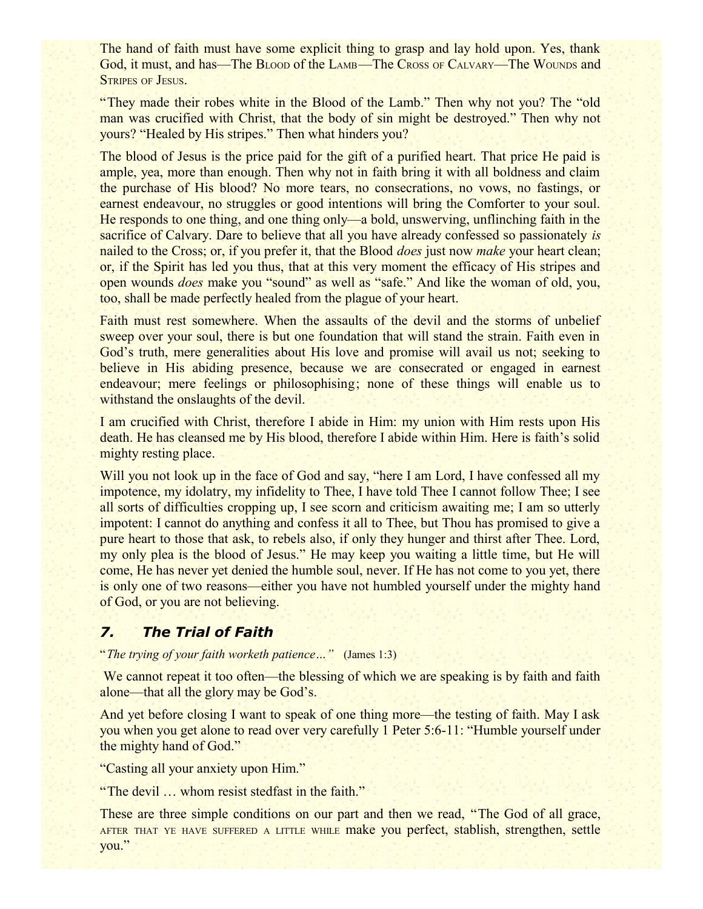The hand of faith must have some explicit thing to grasp and lay hold upon. Yes, thank God, it must, and has—The BLOOD of the LAMB—The CROSS OF CALVARY—The WOUNDS and STRIPES OF JESUS.

"They made their robes white in the Blood of the Lamb." Then why not you? The "old man was crucified with Christ, that the body of sin might be destroyed." Then why not yours? "Healed by His stripes." Then what hinders you?

The blood of Jesus is the price paid for the gift of a purified heart. That price He paid is ample, yea, more than enough. Then why not in faith bring it with all boldness and claim the purchase of His blood? No more tears, no consecrations, no vows, no fastings, or earnest endeavour, no struggles or good intentions will bring the Comforter to your soul. He responds to one thing, and one thing only—a bold, unswerving, unflinching faith in the sacrifice of Calvary. Dare to believe that all you have already confessed so passionately *is* nailed to the Cross; or, if you prefer it, that the Blood *does* just now *make* your heart clean; or, if the Spirit has led you thus, that at this very moment the efficacy of His stripes and open wounds *does* make you "sound" as well as "safe." And like the woman of old, you, too, shall be made perfectly healed from the plague of your heart.

Faith must rest somewhere. When the assaults of the devil and the storms of unbelief sweep over your soul, there is but one foundation that will stand the strain. Faith even in God's truth, mere generalities about His love and promise will avail us not; seeking to believe in His abiding presence, because we are consecrated or engaged in earnest endeavour; mere feelings or philosophising; none of these things will enable us to withstand the onslaughts of the devil.

I am crucified with Christ, therefore I abide in Him: my union with Him rests upon His death. He has cleansed me by His blood, therefore I abide within Him. Here is faith's solid mighty resting place.

Will you not look up in the face of God and say, "here I am Lord, I have confessed all my impotence, my idolatry, my infidelity to Thee, I have told Thee I cannot follow Thee; I see all sorts of difficulties cropping up, I see scorn and criticism awaiting me; I am so utterly impotent: I cannot do anything and confess it all to Thee, but Thou has promised to give a pure heart to those that ask, to rebels also, if only they hunger and thirst after Thee. Lord, my only plea is the blood of Jesus." He may keep you waiting a little time, but He will come, He has never yet denied the humble soul, never. If He has not come to you yet, there is only one of two reasons—either you have not humbled yourself under the mighty hand of God, or you are not believing.

## *7. The Trial of Faith*

"*The trying of your faith worketh patience…"* (James 1:3)

We cannot repeat it too often—the blessing of which we are speaking is by faith and faith alone—that all the glory may be God's.

And yet before closing I want to speak of one thing more—the testing of faith. May I ask you when you get alone to read over very carefully 1 Peter 5:6-11: "Humble yourself under the mighty hand of God."

"Casting all your anxiety upon Him."

"The devil ... whom resist stedfast in the faith."

These are three simple conditions on our part and then we read, "The God of all grace, AFTER THAT YE HAVE SUFFERED <sup>A</sup> LITTLE WHILE make you perfect, stablish, strengthen, settle you."